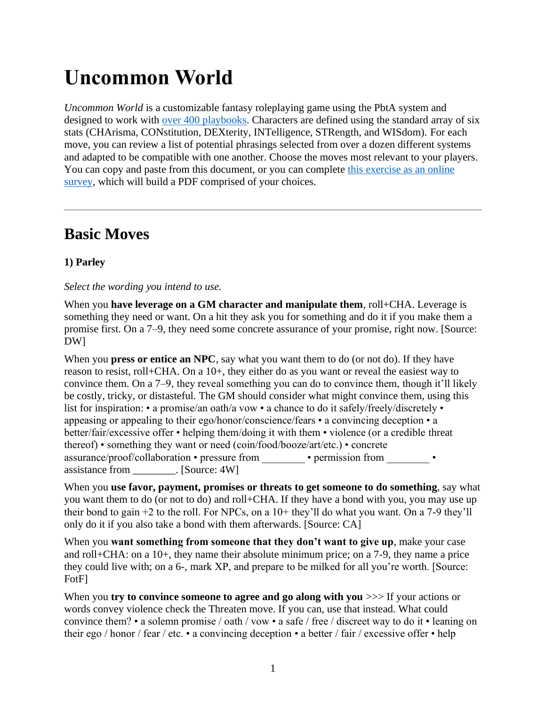# **Uncommon World**

*Uncommon World* is a customizable fantasy roleplaying game using the PbtA system and designed to work with [over 400 playbooks.](https://exposit.github.io/dw-playbooks/) Characters are defined using the standard array of six stats (CHArisma, CONstitution, DEXterity, INTelligence, STRength, and WISdom). For each move, you can review a list of potential phrasings selected from over a dozen different systems and adapted to be compatible with one another. Choose the moves most relevant to your players. You can copy and paste from this document, or you can complete [this exercise as an online](https://survey.alchemer.com/s3/6399221/508b69b9e5eb)  [survey,](https://survey.alchemer.com/s3/6399221/508b69b9e5eb) which will build a PDF comprised of your choices.

# **Basic Moves**

# **1) Parley**

# *Select the wording you intend to use.*

When you **have leverage on a GM character and manipulate them**, roll+CHA. Leverage is something they need or want. On a hit they ask you for something and do it if you make them a promise first. On a 7–9, they need some concrete assurance of your promise, right now. [Source: DW]

When you **press or entice an NPC**, say what you want them to do (or not do). If they have reason to resist, roll+CHA. On a 10+, they either do as you want or reveal the easiest way to convince them. On a 7–9, they reveal something you can do to convince them, though it'll likely be costly, tricky, or distasteful. The GM should consider what might convince them, using this list for inspiration: • a promise/an oath/a vow • a chance to do it safely/freely/discretely • appeasing or appealing to their ego/honor/conscience/fears • a convincing deception • a better/fair/excessive offer • helping them/doing it with them • violence (or a credible threat thereof) • something they want or need (coin/food/booze/art/etc.) • concrete assurance/proof/collaboration • pressure from • • permission from • assistance from . [Source: 4W]

When you **use favor, payment, promises or threats to get someone to do something**, say what you want them to do (or not to do) and roll+CHA. If they have a bond with you, you may use up their bond to gain  $+2$  to the roll. For NPCs, on a  $10+$  they'll do what you want. On a 7-9 they'll only do it if you also take a bond with them afterwards. [Source: CA]

When you **want something from someone that they don't want to give up**, make your case and roll+CHA: on a 10+, they name their absolute minimum price; on a 7-9, they name a price they could live with; on a 6-, mark XP, and prepare to be milked for all you're worth. [Source: FotF]

When you **try to convince someone to agree and go along with you**  $\gg$  If your actions or words convey violence check the Threaten move. If you can, use that instead. What could convince them? • a solemn promise / oath / vow • a safe / free / discreet way to do it • leaning on their ego / honor / fear / etc. • a convincing deception • a better / fair / excessive offer • help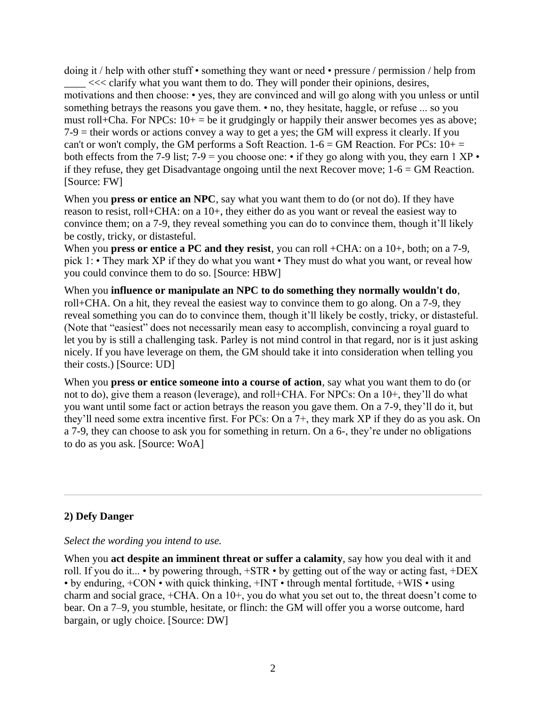doing it / help with other stuff • something they want or need • pressure / permission / help from  $\leq$  <<< clarify what you want them to do. They will ponder their opinions, desires, motivations and then choose: • yes, they are convinced and will go along with you unless or until something betrays the reasons you gave them. • no, they hesitate, haggle, or refuse ... so you must roll+Cha. For NPCs:  $10+$  = be it grudgingly or happily their answer becomes yes as above; 7-9 = their words or actions convey a way to get a yes; the GM will express it clearly. If you can't or won't comply, the GM performs a Soft Reaction.  $1-6 = GM$  Reaction. For PCs:  $10+$ both effects from the 7-9 list; 7-9 = you choose one:  $\cdot$  if they go along with you, they earn 1 XP  $\cdot$ if they refuse, they get Disadvantage ongoing until the next Recover move;  $1-6 = GM$  Reaction. [Source: FW]

When you **press or entice an NPC**, say what you want them to do (or not do). If they have reason to resist, roll+CHA: on a 10+, they either do as you want or reveal the easiest way to convince them; on a 7-9, they reveal something you can do to convince them, though it'll likely be costly, tricky, or distasteful.

When you **press or entice a PC and they resist**, you can roll +CHA: on a 10+, both; on a 7-9, pick 1: • They mark XP if they do what you want • They must do what you want, or reveal how you could convince them to do so. [Source: HBW]

When you **influence or manipulate an NPC to do something they normally wouldn't do**, roll+CHA. On a hit, they reveal the easiest way to convince them to go along. On a 7-9, they reveal something you can do to convince them, though it'll likely be costly, tricky, or distasteful. (Note that "easiest" does not necessarily mean easy to accomplish, convincing a royal guard to let you by is still a challenging task. Parley is not mind control in that regard, nor is it just asking nicely. If you have leverage on them, the GM should take it into consideration when telling you their costs.) [Source: UD]

When you **press or entice someone into a course of action**, say what you want them to do (or not to do), give them a reason (leverage), and roll+CHA. For NPCs: On a 10+, they'll do what you want until some fact or action betrays the reason you gave them. On a 7-9, they'll do it, but they'll need some extra incentive first. For PCs: On a 7+, they mark XP if they do as you ask. On a 7-9, they can choose to ask you for something in return. On a 6-, they're under no obligations to do as you ask. [Source: WoA]

# **2) Defy Danger**

#### *Select the wording you intend to use.*

When you **act despite an imminent threat or suffer a calamity**, say how you deal with it and roll. If you do it... • by powering through, +STR • by getting out of the way or acting fast, +DEX • by enduring, +CON • with quick thinking, +INT • through mental fortitude, +WIS • using charm and social grace, +CHA. On a 10+, you do what you set out to, the threat doesn't come to bear. On a 7–9, you stumble, hesitate, or flinch: the GM will offer you a worse outcome, hard bargain, or ugly choice. [Source: DW]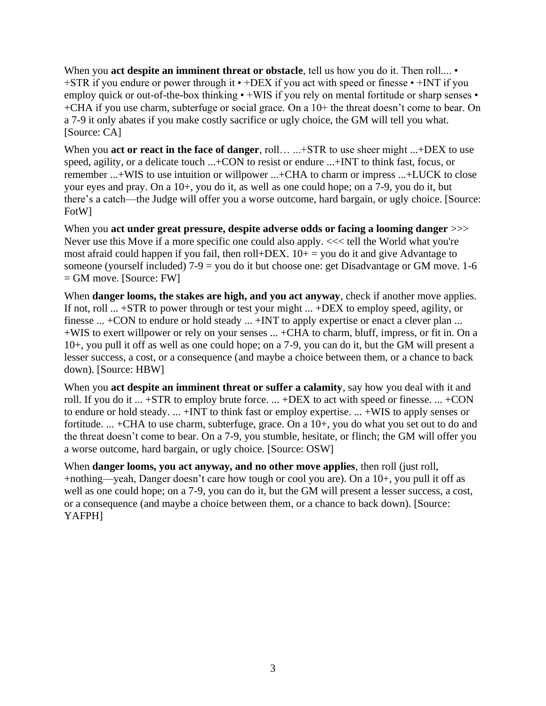When you **act despite an imminent threat or obstacle**, tell us how you do it. Then roll.... • +STR if you endure or power through it • +DEX if you act with speed or finesse • +INT if you employ quick or out-of-the-box thinking • +WIS if you rely on mental fortitude or sharp senses • +CHA if you use charm, subterfuge or social grace. On a 10+ the threat doesn't come to bear. On a 7-9 it only abates if you make costly sacrifice or ugly choice, the GM will tell you what. [Source: CA]

When you **act or react in the face of danger**, roll… ...+STR to use sheer might ...+DEX to use speed, agility, or a delicate touch ...+CON to resist or endure ...+INT to think fast, focus, or remember ...+WIS to use intuition or willpower ...+CHA to charm or impress ...+LUCK to close your eyes and pray. On a 10+, you do it, as well as one could hope; on a 7-9, you do it, but there's a catch—the Judge will offer you a worse outcome, hard bargain, or ugly choice. [Source: FotW]

When you **act under great pressure, despite adverse odds or facing a looming danger**  $\gg$ Never use this Move if a more specific one could also apply.  $<<$  tell the World what you're most afraid could happen if you fail, then roll+DEX.  $10+$  = you do it and give Advantage to someone (yourself included)  $7-9 =$  you do it but choose one: get Disadvantage or GM move. 1-6 = GM move. [Source: FW]

When **danger looms, the stakes are high, and you act anyway**, check if another move applies. If not, roll ... +STR to power through or test your might ... +DEX to employ speed, agility, or finesse ... +CON to endure or hold steady ... +INT to apply expertise or enact a clever plan ... +WIS to exert willpower or rely on your senses ... +CHA to charm, bluff, impress, or fit in. On a 10+, you pull it off as well as one could hope; on a 7-9, you can do it, but the GM will present a lesser success, a cost, or a consequence (and maybe a choice between them, or a chance to back down). [Source: HBW]

When you **act despite an imminent threat or suffer a calamity**, say how you deal with it and roll. If you do it ... +STR to employ brute force. ... +DEX to act with speed or finesse. ... +CON to endure or hold steady. ... +INT to think fast or employ expertise. ... +WIS to apply senses or fortitude. ... +CHA to use charm, subterfuge, grace. On a 10+, you do what you set out to do and the threat doesn't come to bear. On a 7-9, you stumble, hesitate, or flinch; the GM will offer you a worse outcome, hard bargain, or ugly choice. [Source: OSW]

When **danger looms, you act anyway, and no other move applies**, then roll (just roll, +nothing—yeah, Danger doesn't care how tough or cool you are). On a 10+, you pull it off as well as one could hope; on a 7-9, you can do it, but the GM will present a lesser success, a cost, or a consequence (and maybe a choice between them, or a chance to back down). [Source: YAFPH]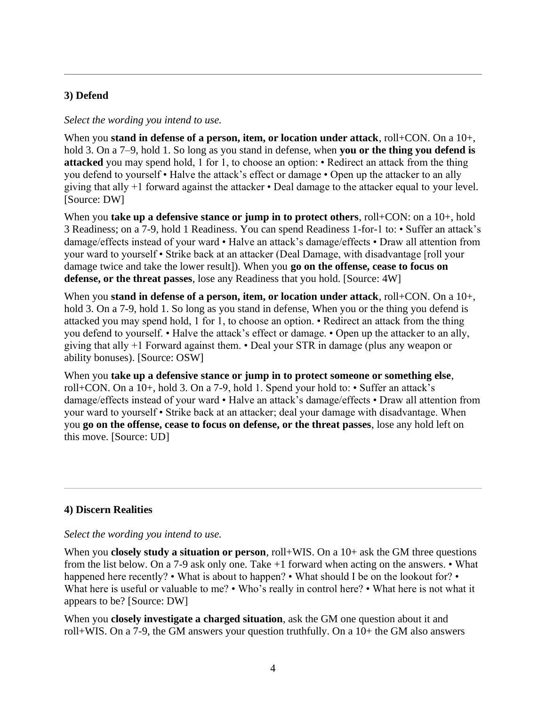# **3) Defend**

#### *Select the wording you intend to use.*

When you **stand in defense of a person, item, or location under attack**, roll+CON. On a 10+, hold 3. On a 7–9, hold 1. So long as you stand in defense, when **you or the thing you defend is attacked** you may spend hold, 1 for 1, to choose an option: • Redirect an attack from the thing you defend to yourself • Halve the attack's effect or damage • Open up the attacker to an ally giving that ally +1 forward against the attacker • Deal damage to the attacker equal to your level. [Source: DW]

When you **take up a defensive stance or jump in to protect others**, roll+CON: on a 10+, hold 3 Readiness; on a 7-9, hold 1 Readiness. You can spend Readiness 1-for-1 to: • Suffer an attack's damage/effects instead of your ward • Halve an attack's damage/effects • Draw all attention from your ward to yourself • Strike back at an attacker (Deal Damage, with disadvantage [roll your damage twice and take the lower result]). When you **go on the offense, cease to focus on defense, or the threat passes**, lose any Readiness that you hold. [Source: 4W]

When you **stand in defense of a person, item, or location under attack**, roll+CON. On a 10+, hold 3. On a 7-9, hold 1. So long as you stand in defense, When you or the thing you defend is attacked you may spend hold, 1 for 1, to choose an option. • Redirect an attack from the thing you defend to yourself. • Halve the attack's effect or damage. • Open up the attacker to an ally, giving that ally +1 Forward against them. • Deal your STR in damage (plus any weapon or ability bonuses). [Source: OSW]

When you **take up a defensive stance or jump in to protect someone or something else**, roll+CON. On a 10+, hold 3. On a 7-9, hold 1. Spend your hold to: • Suffer an attack's damage/effects instead of your ward • Halve an attack's damage/effects • Draw all attention from your ward to yourself • Strike back at an attacker; deal your damage with disadvantage. When you **go on the offense, cease to focus on defense, or the threat passes**, lose any hold left on this move. [Source: UD]

# **4) Discern Realities**

#### *Select the wording you intend to use.*

When you **closely study a situation or person**, roll+WIS. On a 10+ ask the GM three questions from the list below. On a 7-9 ask only one. Take +1 forward when acting on the answers. • What happened here recently? • What is about to happen? • What should I be on the lookout for? • What here is useful or valuable to me? • Who's really in control here? • What here is not what it appears to be? [Source: DW]

When you **closely investigate a charged situation**, ask the GM one question about it and roll+WIS. On a 7-9, the GM answers your question truthfully. On a 10+ the GM also answers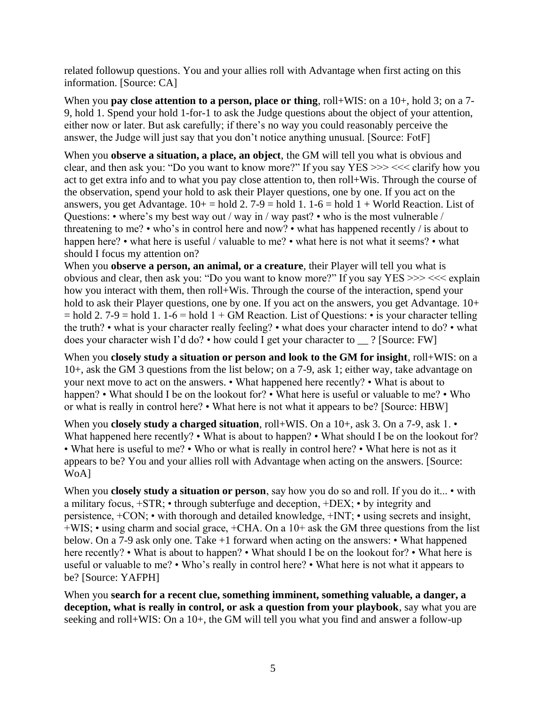related followup questions. You and your allies roll with Advantage when first acting on this information. [Source: CA]

When you **pay close attention to a person, place or thing**, roll+WIS: on a 10+, hold 3; on a 7-9, hold 1. Spend your hold 1-for-1 to ask the Judge questions about the object of your attention, either now or later. But ask carefully; if there's no way you could reasonably perceive the answer, the Judge will just say that you don't notice anything unusual. [Source: FotF]

When you **observe a situation, a place, an object**, the GM will tell you what is obvious and clear, and then ask you: "Do you want to know more?" If you say YES >>> <<< clarify how you act to get extra info and to what you pay close attention to, then roll+Wis. Through the course of the observation, spend your hold to ask their Player questions, one by one. If you act on the answers, you get Advantage.  $10+$  = hold 2. 7-9 = hold 1. 1-6 = hold 1 + World Reaction. List of Questions: • where's my best way out / way in / way past? • who is the most vulnerable / threatening to me? • who's in control here and now? • what has happened recently / is about to happen here? • what here is useful / valuable to me? • what here is not what it seems? • what should I focus my attention on?

When you **observe a person, an animal, or a creature**, their Player will tell you what is obvious and clear, then ask you: "Do you want to know more?" If you say YES >>> <<< explain how you interact with them, then roll+Wis. Through the course of the interaction, spend your hold to ask their Player questions, one by one. If you act on the answers, you get Advantage.  $10+$  $=$  hold 2. 7-9 = hold 1. 1-6 = hold 1 + GM Reaction. List of Ouestions:  $\cdot$  is your character telling the truth? • what is your character really feeling? • what does your character intend to do? • what does your character wish I'd do? • how could I get your character to \_\_ ? [Source: FW]

When you **closely study a situation or person and look to the GM for insight**, roll+WIS: on a 10+, ask the GM 3 questions from the list below; on a 7-9, ask 1; either way, take advantage on your next move to act on the answers. • What happened here recently? • What is about to happen? • What should I be on the lookout for? • What here is useful or valuable to me? • Who or what is really in control here? • What here is not what it appears to be? [Source: HBW]

When you **closely study a charged situation**, roll+WIS. On a 10+, ask 3. On a 7-9, ask 1. • What happened here recently? • What is about to happen? • What should I be on the lookout for? • What here is useful to me? • Who or what is really in control here? • What here is not as it appears to be? You and your allies roll with Advantage when acting on the answers. [Source: WoA]

When you **closely study a situation or person**, say how you do so and roll. If you do it... • with a military focus, +STR; • through subterfuge and deception, +DEX; • by integrity and persistence, +CON; • with thorough and detailed knowledge, +INT; • using secrets and insight, +WIS; • using charm and social grace, +CHA. On a 10+ ask the GM three questions from the list below. On a 7-9 ask only one. Take +1 forward when acting on the answers: • What happened here recently? • What is about to happen? • What should I be on the lookout for? • What here is useful or valuable to me? • Who's really in control here? • What here is not what it appears to be? [Source: YAFPH]

When you **search for a recent clue, something imminent, something valuable, a danger, a deception, what is really in control, or ask a question from your playbook**, say what you are seeking and roll+WIS: On a 10+, the GM will tell you what you find and answer a follow-up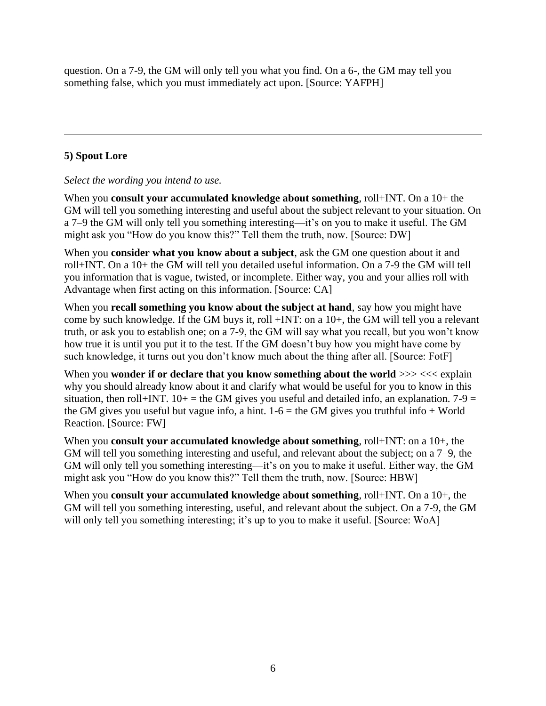question. On a 7-9, the GM will only tell you what you find. On a 6-, the GM may tell you something false, which you must immediately act upon. [Source: YAFPH]

# **5) Spout Lore**

# *Select the wording you intend to use.*

When you **consult your accumulated knowledge about something**, roll+INT. On a 10+ the GM will tell you something interesting and useful about the subject relevant to your situation. On a 7–9 the GM will only tell you something interesting—it's on you to make it useful. The GM might ask you "How do you know this?" Tell them the truth, now. [Source: DW]

When you **consider what you know about a subject**, ask the GM one question about it and roll+INT. On a 10+ the GM will tell you detailed useful information. On a 7-9 the GM will tell you information that is vague, twisted, or incomplete. Either way, you and your allies roll with Advantage when first acting on this information. [Source: CA]

When you **recall something you know about the subject at hand**, say how you might have come by such knowledge. If the GM buys it, roll +INT: on a 10+, the GM will tell you a relevant truth, or ask you to establish one; on a 7-9, the GM will say what you recall, but you won't know how true it is until you put it to the test. If the GM doesn't buy how you might have come by such knowledge, it turns out you don't know much about the thing after all. [Source: FotF]

When you **wonder if or declare that you know something about the world**  $>> <<$  explain why you should already know about it and clarify what would be useful for you to know in this situation, then roll+INT.  $10+$  = the GM gives you useful and detailed info, an explanation. 7-9 = the GM gives you useful but vague info, a hint.  $1-6 =$  the GM gives you truthful info + World Reaction. [Source: FW]

When you **consult your accumulated knowledge about something**, roll+INT: on a 10+, the GM will tell you something interesting and useful, and relevant about the subject; on a 7–9, the GM will only tell you something interesting—it's on you to make it useful. Either way, the GM might ask you "How do you know this?" Tell them the truth, now. [Source: HBW]

When you **consult your accumulated knowledge about something**, roll+INT. On a 10+, the GM will tell you something interesting, useful, and relevant about the subject. On a 7-9, the GM will only tell you something interesting; it's up to you to make it useful. [Source: WoA]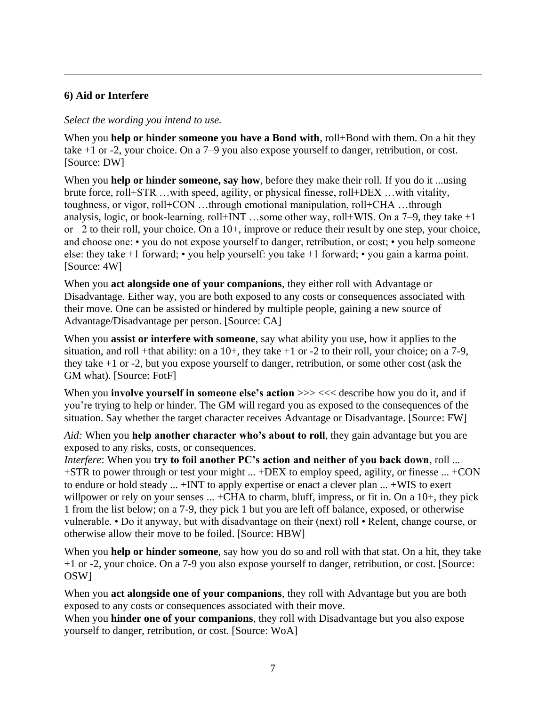# **6) Aid or Interfere**

#### *Select the wording you intend to use.*

When you **help or hinder someone you have a Bond with**, roll+Bond with them. On a hit they take +1 or -2, your choice. On a 7–9 you also expose yourself to danger, retribution, or cost. [Source: DW]

When you **help or hinder someone, say how**, before they make their roll. If you do it ...using brute force, roll+STR …with speed, agility, or physical finesse, roll+DEX …with vitality, toughness, or vigor, roll+CON …through emotional manipulation, roll+CHA …through analysis, logic, or book-learning, roll+INT …some other way, roll+WIS. On a  $7-9$ , they take  $+1$ or −2 to their roll, your choice. On a 10+, improve or reduce their result by one step, your choice, and choose one: • you do not expose yourself to danger, retribution, or cost; • you help someone else: they take +1 forward; • you help yourself: you take +1 forward; • you gain a karma point. [Source: 4W]

When you **act alongside one of your companions**, they either roll with Advantage or Disadvantage. Either way, you are both exposed to any costs or consequences associated with their move. One can be assisted or hindered by multiple people, gaining a new source of Advantage/Disadvantage per person. [Source: CA]

When you **assist or interfere with someone**, say what ability you use, how it applies to the situation, and roll +that ability: on a  $10+$ , they take  $+1$  or  $-2$  to their roll, your choice; on a 7-9, they take +1 or -2, but you expose yourself to danger, retribution, or some other cost (ask the GM what). [Source: FotF]

When you **involve yourself in someone else's action**  $\gg$   $<<$  describe how you do it, and if you're trying to help or hinder. The GM will regard you as exposed to the consequences of the situation. Say whether the target character receives Advantage or Disadvantage. [Source: FW]

*Aid:* When you **help another character who's about to roll**, they gain advantage but you are exposed to any risks, costs, or consequences.

*Interfere*: When you **try to foil another PC's action and neither of you back down**, roll ... +STR to power through or test your might ... +DEX to employ speed, agility, or finesse ... +CON to endure or hold steady ... +INT to apply expertise or enact a clever plan ... +WIS to exert willpower or rely on your senses ... +CHA to charm, bluff, impress, or fit in. On a 10+, they pick 1 from the list below; on a 7-9, they pick 1 but you are left off balance, exposed, or otherwise vulnerable. • Do it anyway, but with disadvantage on their (next) roll • Relent, change course, or otherwise allow their move to be foiled. [Source: HBW]

When you **help or hinder someone**, say how you do so and roll with that stat. On a hit, they take +1 or -2, your choice. On a 7-9 you also expose yourself to danger, retribution, or cost. [Source: OSW]

When you **act alongside one of your companions**, they roll with Advantage but you are both exposed to any costs or consequences associated with their move.

When you **hinder one of your companions**, they roll with Disadvantage but you also expose yourself to danger, retribution, or cost. [Source: WoA]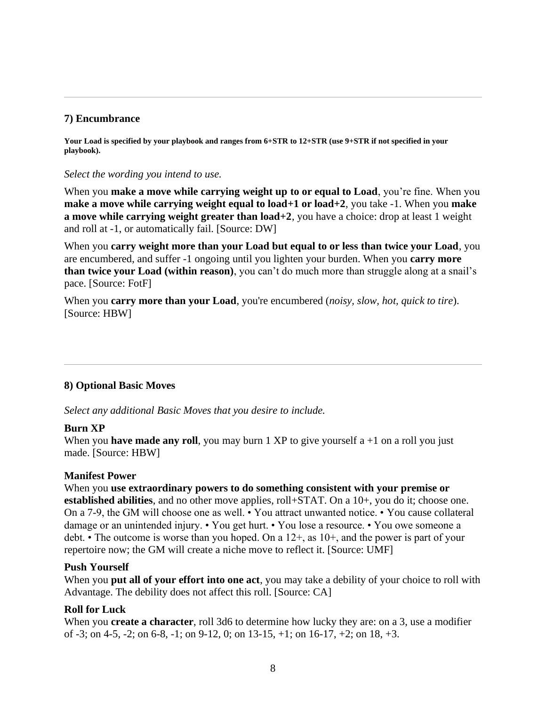#### **7) Encumbrance**

Your Load is specified by your playbook and ranges from 6+STR to 12+STR (use 9+STR if not specified in your **playbook).**

#### *Select the wording you intend to use.*

When you **make a move while carrying weight up to or equal to Load**, you're fine. When you **make a move while carrying weight equal to load+1 or load+2**, you take -1. When you **make a move while carrying weight greater than load+2**, you have a choice: drop at least 1 weight and roll at -1, or automatically fail. [Source: DW]

When you **carry weight more than your Load but equal to or less than twice your Load**, you are encumbered, and suffer -1 ongoing until you lighten your burden. When you **carry more than twice your Load (within reason)**, you can't do much more than struggle along at a snail's pace. [Source: FotF]

When you **carry more than your Load**, you're encumbered *(noisy, slow, hot, quick to tire)*. [Source: HBW]

#### **8) Optional Basic Moves**

*Select any additional Basic Moves that you desire to include.*

#### **Burn XP**

When you **have made any roll**, you may burn 1 XP to give yourself  $a + 1$  on a roll you just made. [Source: HBW]

#### **Manifest Power**

When you **use extraordinary powers to do something consistent with your premise or established abilities**, and no other move applies, roll+STAT. On a 10+, you do it; choose one. On a 7-9, the GM will choose one as well. • You attract unwanted notice. • You cause collateral damage or an unintended injury. • You get hurt. • You lose a resource. • You owe someone a debt. • The outcome is worse than you hoped. On a 12+, as 10+, and the power is part of your repertoire now; the GM will create a niche move to reflect it. [Source: UMF]

#### **Push Yourself**

When you **put all of your effort into one act**, you may take a debility of your choice to roll with Advantage. The debility does not affect this roll. [Source: CA]

#### **Roll for Luck**

When you **create a character**, roll 3d6 to determine how lucky they are: on a 3, use a modifier of -3; on 4-5, -2; on 6-8, -1; on 9-12, 0; on 13-15, +1; on 16-17, +2; on 18, +3.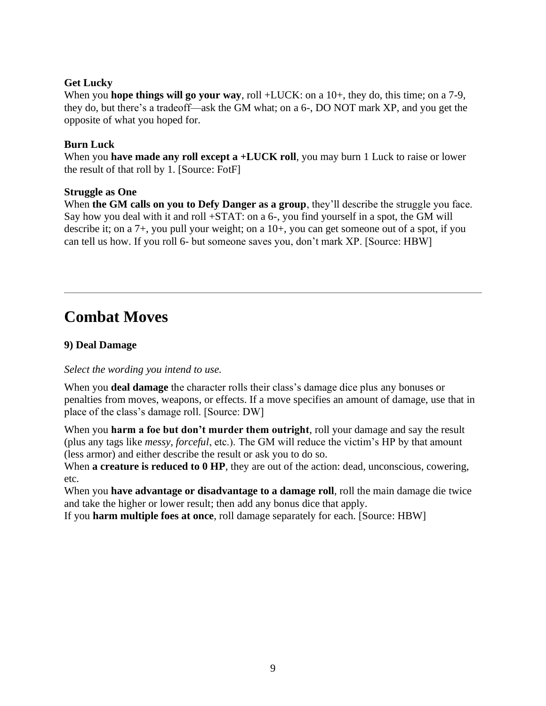#### **Get Lucky**

When you **hope things will go your way**, roll +LUCK: on a 10+, they do, this time; on a 7-9, they do, but there's a tradeoff—ask the GM what; on a 6-, DO NOT mark XP, and you get the opposite of what you hoped for.

#### **Burn Luck**

When you **have made any roll except a +LUCK roll**, you may burn 1 Luck to raise or lower the result of that roll by 1. [Source: FotF]

#### **Struggle as One**

When **the GM calls on you to Defy Danger as a group**, they'll describe the struggle you face. Say how you deal with it and roll +STAT: on a 6-, you find yourself in a spot, the GM will describe it; on a 7+, you pull your weight; on a 10+, you can get someone out of a spot, if you can tell us how. If you roll 6- but someone saves you, don't mark XP. [Source: HBW]

# **Combat Moves**

# **9) Deal Damage**

# *Select the wording you intend to use.*

When you **deal damage** the character rolls their class's damage dice plus any bonuses or penalties from moves, weapons, or effects. If a move specifies an amount of damage, use that in place of the class's damage roll. [Source: DW]

When you **harm a foe but don't murder them outright**, roll your damage and say the result (plus any tags like *messy, forceful*, etc.). The GM will reduce the victim's HP by that amount (less armor) and either describe the result or ask you to do so.

When **a creature is reduced to 0 HP**, they are out of the action: dead, unconscious, cowering, etc.

When you **have advantage or disadvantage to a damage roll**, roll the main damage die twice and take the higher or lower result; then add any bonus dice that apply.

If you **harm multiple foes at once**, roll damage separately for each. [Source: HBW]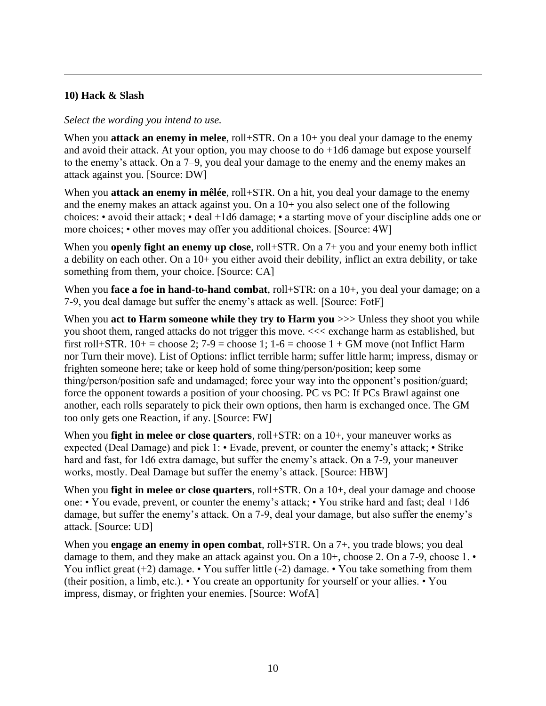#### **10) Hack & Slash**

#### *Select the wording you intend to use.*

When you **attack an enemy in melee**, roll+STR. On a 10+ you deal your damage to the enemy and avoid their attack. At your option, you may choose to do +1d6 damage but expose yourself to the enemy's attack. On a 7–9, you deal your damage to the enemy and the enemy makes an attack against you. [Source: DW]

When you **attack an enemy in mêlée**, roll+STR. On a hit, you deal your damage to the enemy and the enemy makes an attack against you. On a 10+ you also select one of the following choices: • avoid their attack; • deal +1d6 damage; • a starting move of your discipline adds one or more choices; • other moves may offer you additional choices. [Source: 4W]

When you **openly fight an enemy up close**, roll+STR. On a 7+ you and your enemy both inflict a debility on each other. On a 10+ you either avoid their debility, inflict an extra debility, or take something from them, your choice. [Source: CA]

When you **face a foe in hand-to-hand combat**, roll+STR: on a 10+, you deal your damage; on a 7-9, you deal damage but suffer the enemy's attack as well. [Source: FotF]

When you **act to Harm someone while they try to Harm you**  $\gg$  Unless they shoot you while you shoot them, ranged attacks do not trigger this move. <<< exchange harm as established, but first roll+STR.  $10+=$  choose 2;  $7-9$  = choose 1;  $1-6$  = choose  $1+$  GM move (not Inflict Harm nor Turn their move). List of Options: inflict terrible harm; suffer little harm; impress, dismay or frighten someone here; take or keep hold of some thing/person/position; keep some thing/person/position safe and undamaged; force your way into the opponent's position/guard; force the opponent towards a position of your choosing. PC vs PC: If PCs Brawl against one another, each rolls separately to pick their own options, then harm is exchanged once. The GM too only gets one Reaction, if any. [Source: FW]

When you **fight in melee or close quarters**, roll+STR: on a 10+, your maneuver works as expected (Deal Damage) and pick 1: • Evade, prevent, or counter the enemy's attack; • Strike hard and fast, for 1d6 extra damage, but suffer the enemy's attack. On a 7-9, your maneuver works, mostly. Deal Damage but suffer the enemy's attack. [Source: HBW]

When you **fight in melee or close quarters**, roll+STR. On a 10+, deal your damage and choose one: • You evade, prevent, or counter the enemy's attack; • You strike hard and fast; deal +1d6 damage, but suffer the enemy's attack. On a 7-9, deal your damage, but also suffer the enemy's attack. [Source: UD]

When you **engage an enemy in open combat**, roll+STR. On a 7+, you trade blows; you deal damage to them, and they make an attack against you. On a  $10+$ , choose 2. On a  $7-9$ , choose  $1. \bullet$ You inflict great  $(+2)$  damage. • You suffer little  $(-2)$  damage. • You take something from them (their position, a limb, etc.). • You create an opportunity for yourself or your allies. • You impress, dismay, or frighten your enemies. [Source: WofA]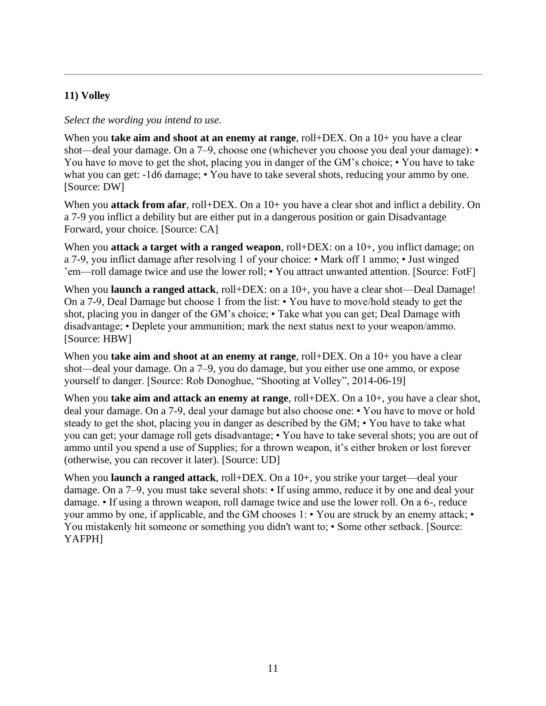# **11) Volley**

#### *Select the wording you intend to use.*

When you **take aim and shoot at an enemy at range**, roll+DEX. On a 10+ you have a clear shot—deal your damage. On a 7–9, choose one (whichever you choose you deal your damage): • You have to move to get the shot, placing you in danger of the GM's choice; • You have to take what you can get: -1d6 damage; • You have to take several shots, reducing your ammo by one. [Source: DW]

When you **attack from afar**, roll+DEX. On a 10+ you have a clear shot and inflict a debility. On a 7-9 you inflict a debility but are either put in a dangerous position or gain Disadvantage Forward, your choice. [Source: CA]

When you **attack a target with a ranged weapon**, roll+DEX: on a 10+, you inflict damage; on a 7-9, you inflict damage after resolving 1 of your choice: • Mark off 1 ammo; • Just winged 'em—roll damage twice and use the lower roll; • You attract unwanted attention. [Source: FotF]

When you **launch a ranged attack**, roll+DEX: on a 10+, you have a clear shot—Deal Damage! On a 7-9, Deal Damage but choose 1 from the list: • You have to move/hold steady to get the shot, placing you in danger of the GM's choice; • Take what you can get; Deal Damage with disadvantage; • Deplete your ammunition; mark the next status next to your weapon/ammo. [Source: HBW]

When you **take aim and shoot at an enemy at range**, roll+DEX. On a 10+ you have a clear shot—deal your damage. On a 7–9, you do damage, but you either use one ammo, or expose yourself to danger. [Source: Rob Donoghue, "Shooting at Volley", 2014-06-19]

When you **take aim and attack an enemy at range**, roll+DEX. On a 10+, you have a clear shot, deal your damage. On a 7-9, deal your damage but also choose one: • You have to move or hold steady to get the shot, placing you in danger as described by the GM; • You have to take what you can get; your damage roll gets disadvantage; • You have to take several shots; you are out of ammo until you spend a use of Supplies; for a thrown weapon, it's either broken or lost forever (otherwise, you can recover it later). [Source: UD]

When you **launch a ranged attack**, roll+DEX. On a 10+, you strike your target—deal your damage. On a 7–9, you must take several shots: • If using ammo, reduce it by one and deal your damage. • If using a thrown weapon, roll damage twice and use the lower roll. On a 6-, reduce your ammo by one, if applicable, and the GM chooses 1: • You are struck by an enemy attack; • You mistakenly hit someone or something you didn't want to; • Some other setback. [Source: YAFPH]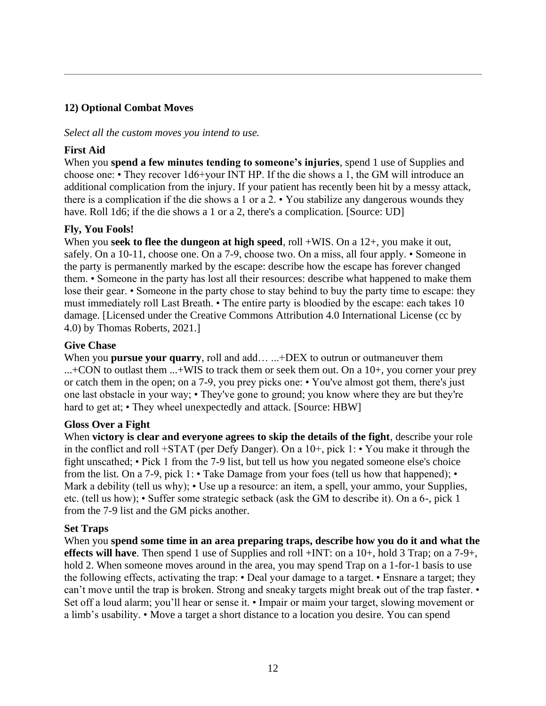#### **12) Optional Combat Moves**

#### *Select all the custom moves you intend to use.*

#### **First Aid**

When you **spend a few minutes tending to someone's injuries**, spend 1 use of Supplies and choose one: • They recover 1d6+your INT HP. If the die shows a 1, the GM will introduce an additional complication from the injury. If your patient has recently been hit by a messy attack, there is a complication if the die shows a 1 or a 2. • You stabilize any dangerous wounds they have. Roll 1d6; if the die shows a 1 or a 2, there's a complication. [Source: UD]

#### **Fly, You Fools!**

When you **seek to flee the dungeon at high speed**, roll +WIS. On a 12+, you make it out, safely. On a 10-11, choose one. On a 7-9, choose two. On a miss, all four apply. • Someone in the party is permanently marked by the escape: describe how the escape has forever changed them. • Someone in the party has lost all their resources: describe what happened to make them lose their gear. • Someone in the party chose to stay behind to buy the party time to escape: they must immediately roll Last Breath. • The entire party is bloodied by the escape: each takes 10 damage. [Licensed under the Creative Commons Attribution 4.0 International License (cc by 4.0) by Thomas Roberts, 2021.]

#### **Give Chase**

When you **pursue your quarry**, roll and add... ...+DEX to outrun or outmaneuver them ...+CON to outlast them ...+WIS to track them or seek them out. On a 10+, you corner your prey or catch them in the open; on a 7-9, you prey picks one: • You've almost got them, there's just one last obstacle in your way; • They've gone to ground; you know where they are but they're hard to get at; • They wheel unexpectedly and attack. [Source: HBW]

#### **Gloss Over a Fight**

When **victory is clear and everyone agrees to skip the details of the fight**, describe your role in the conflict and roll +STAT (per Defy Danger). On a  $10+$ , pick  $1:$  • You make it through the fight unscathed; • Pick 1 from the 7-9 list, but tell us how you negated someone else's choice from the list. On a 7-9, pick 1: • Take Damage from your foes (tell us how that happened); • Mark a debility (tell us why); • Use up a resource: an item, a spell, your ammo, your Supplies, etc. (tell us how); • Suffer some strategic setback (ask the GM to describe it). On a 6-, pick 1 from the 7-9 list and the GM picks another.

#### **Set Traps**

When you **spend some time in an area preparing traps, describe how you do it and what the effects will have**. Then spend 1 use of Supplies and roll +INT: on a 10+, hold 3 Trap; on a 7-9+, hold 2. When someone moves around in the area, you may spend Trap on a 1-for-1 basis to use the following effects, activating the trap: • Deal your damage to a target. • Ensnare a target; they can't move until the trap is broken. Strong and sneaky targets might break out of the trap faster. • Set off a loud alarm; you'll hear or sense it. • Impair or maim your target, slowing movement or a limb's usability. • Move a target a short distance to a location you desire. You can spend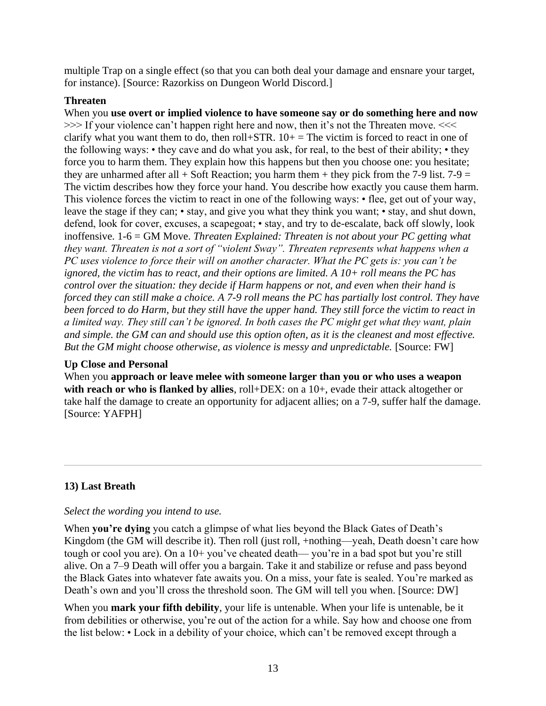multiple Trap on a single effect (so that you can both deal your damage and ensnare your target, for instance). [Source: Razorkiss on Dungeon World Discord.]

#### **Threaten**

When you **use overt or implied violence to have someone say or do something here and now** >>> If your violence can't happen right here and now, then it's not the Threaten move. <<< clarify what you want them to do, then roll+STR.  $10+$  = The victim is forced to react in one of the following ways: • they cave and do what you ask, for real, to the best of their ability; • they force you to harm them. They explain how this happens but then you choose one: you hesitate; they are unharmed after all  $+$  Soft Reaction; you harm them  $+$  they pick from the 7-9 list. 7-9 = The victim describes how they force your hand. You describe how exactly you cause them harm. This violence forces the victim to react in one of the following ways: • flee, get out of your way, leave the stage if they can; • stay, and give you what they think you want; • stay, and shut down, defend, look for cover, excuses, a scapegoat; • stay, and try to de-escalate, back off slowly, look inoffensive. 1-6 = GM Move. *Threaten Explained: Threaten is not about your PC getting what they want. Threaten is not a sort of "violent Sway". Threaten represents what happens when a PC uses violence to force their will on another character. What the PC gets is: you can't be ignored, the victim has to react, and their options are limited. A 10+ roll means the PC has control over the situation: they decide if Harm happens or not, and even when their hand is forced they can still make a choice. A 7-9 roll means the PC has partially lost control. They have been forced to do Harm, but they still have the upper hand. They still force the victim to react in a limited way. They still can't be ignored. In both cases the PC might get what they want, plain and simple. the GM can and should use this option often, as it is the cleanest and most effective. But the GM might choose otherwise, as violence is messy and unpredictable.* [Source: FW]

# **Up Close and Personal**

When you **approach or leave melee with someone larger than you or who uses a weapon**  with reach or who is flanked by allies, roll+DEX: on a 10+, evade their attack altogether or take half the damage to create an opportunity for adjacent allies; on a 7-9, suffer half the damage. [Source: YAFPH]

# **13) Last Breath**

#### *Select the wording you intend to use.*

When **you're dying** you catch a glimpse of what lies beyond the Black Gates of Death's Kingdom (the GM will describe it). Then roll (just roll, +nothing—yeah, Death doesn't care how tough or cool you are). On a 10+ you've cheated death— you're in a bad spot but you're still alive. On a 7–9 Death will offer you a bargain. Take it and stabilize or refuse and pass beyond the Black Gates into whatever fate awaits you. On a miss, your fate is sealed. You're marked as Death's own and you'll cross the threshold soon. The GM will tell you when. [Source: DW]

When you **mark your fifth debility**, your life is untenable. When your life is untenable, be it from debilities or otherwise, you're out of the action for a while. Say how and choose one from the list below: • Lock in a debility of your choice, which can't be removed except through a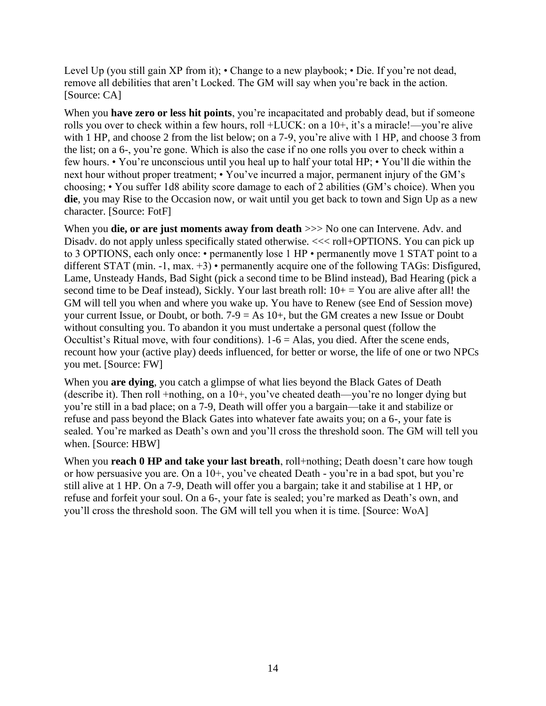Level Up (you still gain XP from it); • Change to a new playbook; • Die. If you're not dead, remove all debilities that aren't Locked. The GM will say when you're back in the action. [Source: CA]

When you **have zero or less hit points**, you're incapacitated and probably dead, but if someone rolls you over to check within a few hours, roll +LUCK: on a 10+, it's a miracle!—you're alive with 1 HP, and choose 2 from the list below; on a 7-9, you're alive with 1 HP, and choose 3 from the list; on a 6-, you're gone. Which is also the case if no one rolls you over to check within a few hours. • You're unconscious until you heal up to half your total HP; • You'll die within the next hour without proper treatment; • You've incurred a major, permanent injury of the GM's choosing; • You suffer 1d8 ability score damage to each of 2 abilities (GM's choice). When you **die**, you may Rise to the Occasion now, or wait until you get back to town and Sign Up as a new character. [Source: FotF]

When you **die, or are just moments away from death**  $>>$  No one can Intervene. Adv. and Disady, do not apply unless specifically stated otherwise.  $<<$  roll+OPTIONS. You can pick up to 3 OPTIONS, each only once: • permanently lose 1 HP • permanently move 1 STAT point to a different STAT (min. -1, max. +3) • permanently acquire one of the following TAGs: Disfigured, Lame, Unsteady Hands, Bad Sight (pick a second time to be Blind instead), Bad Hearing (pick a second time to be Deaf instead), Sickly. Your last breath roll:  $10+ =$  You are alive after all! the GM will tell you when and where you wake up. You have to Renew (see End of Session move) your current Issue, or Doubt, or both.  $7-9 = As 10+$ , but the GM creates a new Issue or Doubt without consulting you. To abandon it you must undertake a personal quest (follow the Occultist's Ritual move, with four conditions).  $1-6 =$  Alas, you died. After the scene ends, recount how your (active play) deeds influenced, for better or worse, the life of one or two NPCs you met. [Source: FW]

When you **are dying**, you catch a glimpse of what lies beyond the Black Gates of Death (describe it). Then roll +nothing, on a 10+, you've cheated death—you're no longer dying but you're still in a bad place; on a 7-9, Death will offer you a bargain—take it and stabilize or refuse and pass beyond the Black Gates into whatever fate awaits you; on a 6-, your fate is sealed. You're marked as Death's own and you'll cross the threshold soon. The GM will tell you when. [Source: HBW]

When you **reach 0 HP and take your last breath**, roll+nothing; Death doesn't care how tough or how persuasive you are. On a 10+, you've cheated Death - you're in a bad spot, but you're still alive at 1 HP. On a 7-9, Death will offer you a bargain; take it and stabilise at 1 HP, or refuse and forfeit your soul. On a 6-, your fate is sealed; you're marked as Death's own, and you'll cross the threshold soon. The GM will tell you when it is time. [Source: WoA]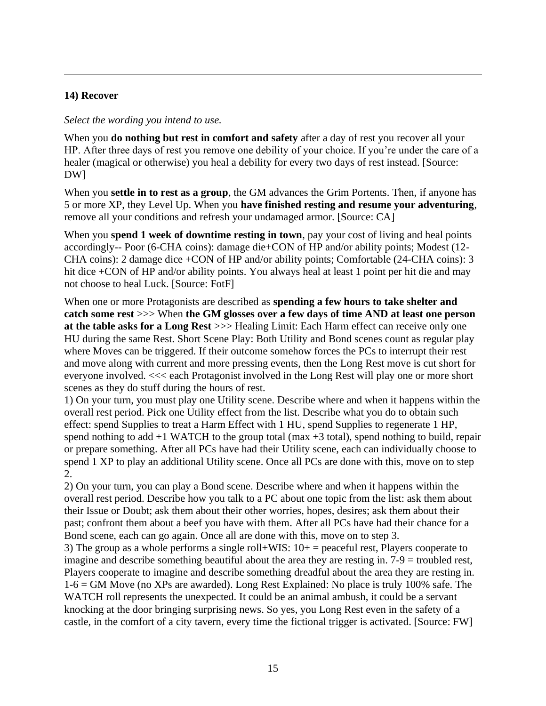#### **14) Recover**

#### *Select the wording you intend to use.*

When you **do nothing but rest in comfort and safety** after a day of rest you recover all your HP. After three days of rest you remove one debility of your choice. If you're under the care of a healer (magical or otherwise) you heal a debility for every two days of rest instead. [Source: DW]

When you **settle in to rest as a group**, the GM advances the Grim Portents. Then, if anyone has 5 or more XP, they Level Up. When you **have finished resting and resume your adventuring**, remove all your conditions and refresh your undamaged armor. [Source: CA]

When you **spend 1 week of downtime resting in town**, pay your cost of living and heal points accordingly-- Poor (6-CHA coins): damage die+CON of HP and/or ability points; Modest (12- CHA coins): 2 damage dice +CON of HP and/or ability points; Comfortable (24-CHA coins): 3 hit dice +CON of HP and/or ability points. You always heal at least 1 point per hit die and may not choose to heal Luck. [Source: FotF]

When one or more Protagonists are described as **spending a few hours to take shelter and catch some rest** >>> When **the GM glosses over a few days of time AND at least one person at the table asks for a Long Rest** >>> Healing Limit: Each Harm effect can receive only one HU during the same Rest. Short Scene Play: Both Utility and Bond scenes count as regular play where Moves can be triggered. If their outcome somehow forces the PCs to interrupt their rest and move along with current and more pressing events, then the Long Rest move is cut short for everyone involved. <<< each Protagonist involved in the Long Rest will play one or more short scenes as they do stuff during the hours of rest.

1) On your turn, you must play one Utility scene. Describe where and when it happens within the overall rest period. Pick one Utility effect from the list. Describe what you do to obtain such effect: spend Supplies to treat a Harm Effect with 1 HU, spend Supplies to regenerate 1 HP, spend nothing to add  $+1$  WATCH to the group total (max  $+3$  total), spend nothing to build, repair or prepare something. After all PCs have had their Utility scene, each can individually choose to spend 1 XP to play an additional Utility scene. Once all PCs are done with this, move on to step 2.

2) On your turn, you can play a Bond scene. Describe where and when it happens within the overall rest period. Describe how you talk to a PC about one topic from the list: ask them about their Issue or Doubt; ask them about their other worries, hopes, desires; ask them about their past; confront them about a beef you have with them. After all PCs have had their chance for a Bond scene, each can go again. Once all are done with this, move on to step 3.

3) The group as a whole performs a single roll+WIS:  $10+$  = peaceful rest, Players cooperate to imagine and describe something beautiful about the area they are resting in. 7-9 = troubled rest, Players cooperate to imagine and describe something dreadful about the area they are resting in. 1-6 = GM Move (no XPs are awarded). Long Rest Explained: No place is truly 100% safe. The WATCH roll represents the unexpected. It could be an animal ambush, it could be a servant knocking at the door bringing surprising news. So yes, you Long Rest even in the safety of a castle, in the comfort of a city tavern, every time the fictional trigger is activated. [Source: FW]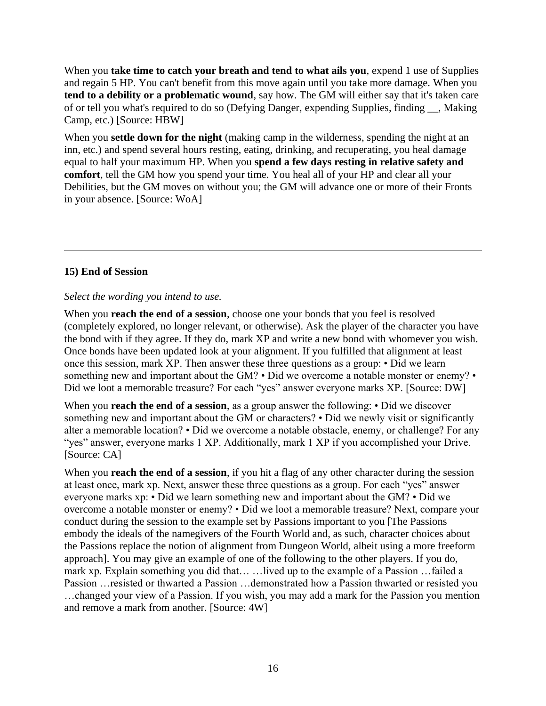When you **take time to catch your breath and tend to what ails you**, expend 1 use of Supplies and regain 5 HP. You can't benefit from this move again until you take more damage. When you **tend to a debility or a problematic wound**, say how. The GM will either say that it's taken care of or tell you what's required to do so (Defying Danger, expending Supplies, finding \_\_, Making Camp, etc.) [Source: HBW]

When you **settle down for the night** (making camp in the wilderness, spending the night at an inn, etc.) and spend several hours resting, eating, drinking, and recuperating, you heal damage equal to half your maximum HP. When you **spend a few days resting in relative safety and comfort**, tell the GM how you spend your time. You heal all of your HP and clear all your Debilities, but the GM moves on without you; the GM will advance one or more of their Fronts in your absence. [Source: WoA]

# **15) End of Session**

# *Select the wording you intend to use.*

When you **reach the end of a session**, choose one your bonds that you feel is resolved (completely explored, no longer relevant, or otherwise). Ask the player of the character you have the bond with if they agree. If they do, mark XP and write a new bond with whomever you wish. Once bonds have been updated look at your alignment. If you fulfilled that alignment at least once this session, mark XP. Then answer these three questions as a group: • Did we learn something new and important about the GM? • Did we overcome a notable monster or enemy? • Did we loot a memorable treasure? For each "yes" answer everyone marks XP. [Source: DW]

When you **reach the end of a session**, as a group answer the following: • Did we discover something new and important about the GM or characters? • Did we newly visit or significantly alter a memorable location? • Did we overcome a notable obstacle, enemy, or challenge? For any "yes" answer, everyone marks 1 XP. Additionally, mark 1 XP if you accomplished your Drive. [Source: CA]

When you **reach the end of a session**, if you hit a flag of any other character during the session at least once, mark xp. Next, answer these three questions as a group. For each "yes" answer everyone marks xp: • Did we learn something new and important about the GM? • Did we overcome a notable monster or enemy? • Did we loot a memorable treasure? Next, compare your conduct during the session to the example set by Passions important to you [The Passions embody the ideals of the namegivers of the Fourth World and, as such, character choices about the Passions replace the notion of alignment from Dungeon World, albeit using a more freeform approach]. You may give an example of one of the following to the other players. If you do, mark xp. Explain something you did that… …lived up to the example of a Passion …failed a Passion …resisted or thwarted a Passion …demonstrated how a Passion thwarted or resisted you …changed your view of a Passion. If you wish, you may add a mark for the Passion you mention and remove a mark from another. [Source: 4W]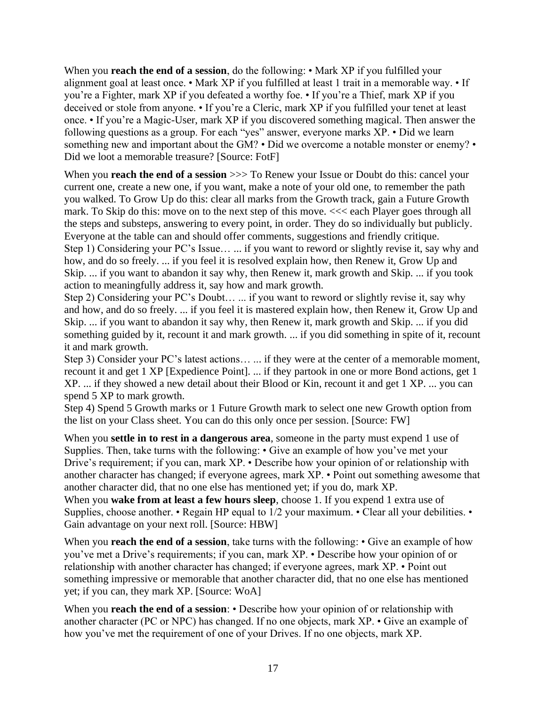When you **reach the end of a session**, do the following: • Mark XP if you fulfilled your alignment goal at least once. • Mark XP if you fulfilled at least 1 trait in a memorable way. • If you're a Fighter, mark XP if you defeated a worthy foe. • If you're a Thief, mark XP if you deceived or stole from anyone. • If you're a Cleric, mark XP if you fulfilled your tenet at least once. • If you're a Magic-User, mark XP if you discovered something magical. Then answer the following questions as a group. For each "yes" answer, everyone marks XP. • Did we learn something new and important about the GM? • Did we overcome a notable monster or enemy? • Did we loot a memorable treasure? [Source: FotF]

When you **reach the end of a session**  $\gg$  To Renew your Issue or Doubt do this: cancel your current one, create a new one, if you want, make a note of your old one, to remember the path you walked. To Grow Up do this: clear all marks from the Growth track, gain a Future Growth mark. To Skip do this: move on to the next step of this move. <<< each Player goes through all the steps and substeps, answering to every point, in order. They do so individually but publicly. Everyone at the table can and should offer comments, suggestions and friendly critique. Step 1) Considering your PC's Issue… ... if you want to reword or slightly revise it, say why and how, and do so freely. ... if you feel it is resolved explain how, then Renew it, Grow Up and Skip. ... if you want to abandon it say why, then Renew it, mark growth and Skip. ... if you took action to meaningfully address it, say how and mark growth.

Step 2) Considering your PC's Doubt… ... if you want to reword or slightly revise it, say why and how, and do so freely. ... if you feel it is mastered explain how, then Renew it, Grow Up and Skip. ... if you want to abandon it say why, then Renew it, mark growth and Skip. ... if you did something guided by it, recount it and mark growth. ... if you did something in spite of it, recount it and mark growth.

Step 3) Consider your PC's latest actions… ... if they were at the center of a memorable moment, recount it and get 1 XP [Expedience Point]. ... if they partook in one or more Bond actions, get 1 XP. ... if they showed a new detail about their Blood or Kin, recount it and get 1 XP. ... you can spend 5 XP to mark growth.

Step 4) Spend 5 Growth marks or 1 Future Growth mark to select one new Growth option from the list on your Class sheet. You can do this only once per session. [Source: FW]

When you **settle in to rest in a dangerous area**, someone in the party must expend 1 use of Supplies. Then, take turns with the following: • Give an example of how you've met your Drive's requirement; if you can, mark XP. • Describe how your opinion of or relationship with another character has changed; if everyone agrees, mark XP. • Point out something awesome that another character did, that no one else has mentioned yet; if you do, mark XP.

When you **wake from at least a few hours sleep**, choose 1. If you expend 1 extra use of Supplies, choose another. • Regain HP equal to 1/2 your maximum. • Clear all your debilities. • Gain advantage on your next roll. [Source: HBW]

When you **reach the end of a session**, take turns with the following:  $\cdot$  Give an example of how you've met a Drive's requirements; if you can, mark XP. • Describe how your opinion of or relationship with another character has changed; if everyone agrees, mark XP. • Point out something impressive or memorable that another character did, that no one else has mentioned yet; if you can, they mark XP. [Source: WoA]

When you **reach the end of a session:** • Describe how your opinion of or relationship with another character (PC or NPC) has changed. If no one objects, mark XP. • Give an example of how you've met the requirement of one of your Drives. If no one objects, mark XP.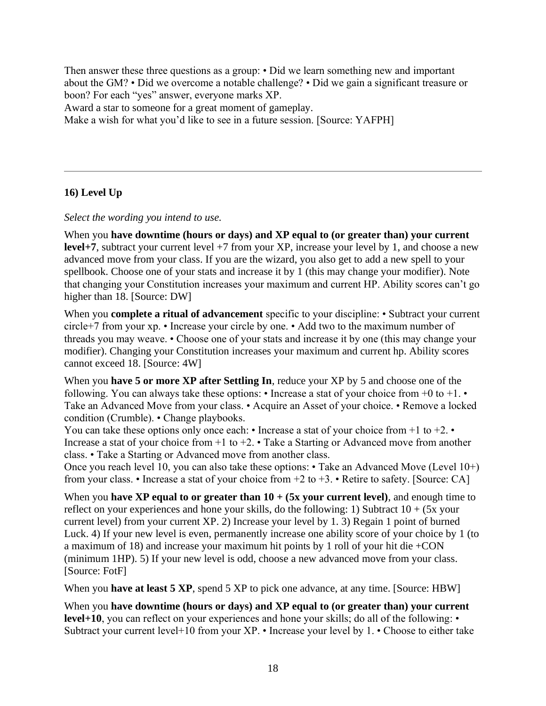Then answer these three questions as a group: • Did we learn something new and important about the GM? • Did we overcome a notable challenge? • Did we gain a significant treasure or boon? For each "yes" answer, everyone marks XP.

Award a star to someone for a great moment of gameplay.

Make a wish for what you'd like to see in a future session. [Source: YAFPH]

# **16) Level Up**

*Select the wording you intend to use.*

When you **have downtime (hours or days) and XP equal to (or greater than) your current level+7**, subtract your current level +7 from your XP, increase your level by 1, and choose a new advanced move from your class. If you are the wizard, you also get to add a new spell to your spellbook. Choose one of your stats and increase it by 1 (this may change your modifier). Note that changing your Constitution increases your maximum and current HP. Ability scores can't go higher than 18. [Source: DW]

When you **complete a ritual of advancement** specific to your discipline: • Subtract your current circle+7 from your xp. • Increase your circle by one. • Add two to the maximum number of threads you may weave. • Choose one of your stats and increase it by one (this may change your modifier). Changing your Constitution increases your maximum and current hp. Ability scores cannot exceed 18. [Source: 4W]

When you **have 5 or more XP after Settling In**, reduce your XP by 5 and choose one of the following. You can always take these options:  $\cdot$  Increase a stat of your choice from +0 to +1.  $\cdot$ Take an Advanced Move from your class. • Acquire an Asset of your choice. • Remove a locked condition (Crumble). • Change playbooks.

You can take these options only once each:  $\cdot$  Increase a stat of your choice from +1 to +2. $\cdot$ Increase a stat of your choice from  $+1$  to  $+2$ . • Take a Starting or Advanced move from another class. • Take a Starting or Advanced move from another class.

Once you reach level 10, you can also take these options: • Take an Advanced Move (Level 10+) from your class. • Increase a stat of your choice from  $+2$  to  $+3$ . • Retire to safety. [Source: CA]

When you **have XP equal to or greater than**  $10 + (5x$  **your current level)**, and enough time to reflect on your experiences and hone your skills, do the following: 1) Subtract  $10 + (5x$  your current level) from your current XP. 2) Increase your level by 1. 3) Regain 1 point of burned Luck. 4) If your new level is even, permanently increase one ability score of your choice by 1 (to a maximum of 18) and increase your maximum hit points by 1 roll of your hit die +CON (minimum 1HP). 5) If your new level is odd, choose a new advanced move from your class. [Source: FotF]

When you **have at least 5 XP**, spend 5 XP to pick one advance, at any time. [Source: HBW]

When you **have downtime (hours or days) and XP equal to (or greater than) your current level+10**, you can reflect on your experiences and hone your skills; do all of the following: • Subtract your current level+10 from your XP. • Increase your level by 1. • Choose to either take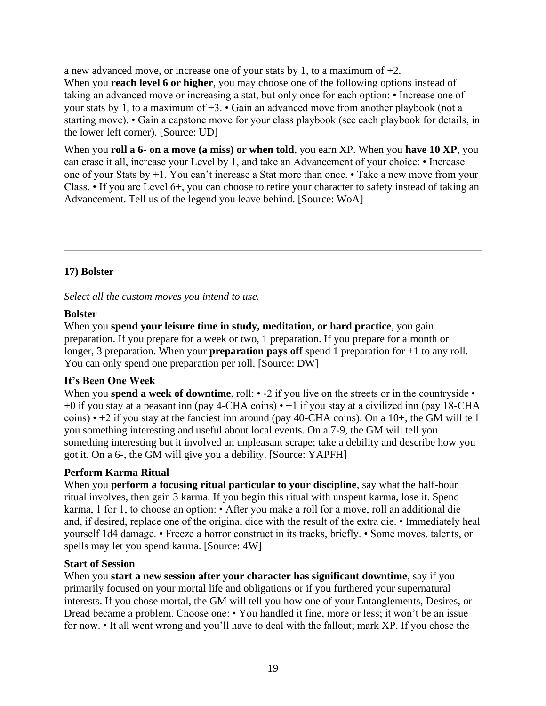a new advanced move, or increase one of your stats by 1, to a maximum of +2.

When you **reach level 6 or higher**, you may choose one of the following options instead of taking an advanced move or increasing a stat, but only once for each option: • Increase one of your stats by 1, to a maximum of +3. • Gain an advanced move from another playbook (not a starting move). • Gain a capstone move for your class playbook (see each playbook for details, in the lower left corner). [Source: UD]

When you **roll a 6- on a move (a miss) or when told**, you earn XP. When you **have 10 XP**, you can erase it all, increase your Level by 1, and take an Advancement of your choice: • Increase one of your Stats by +1. You can't increase a Stat more than once. • Take a new move from your Class. • If you are Level 6+, you can choose to retire your character to safety instead of taking an Advancement. Tell us of the legend you leave behind. [Source: WoA]

# **17) Bolster**

*Select all the custom moves you intend to use.*

# **Bolster**

When you **spend your leisure time in study, meditation, or hard practice**, you gain preparation. If you prepare for a week or two, 1 preparation. If you prepare for a month or longer, 3 preparation. When your **preparation pays off** spend 1 preparation for +1 to any roll. You can only spend one preparation per roll. [Source: DW]

# **It's Been One Week**

When you **spend a week of downtime**, roll:  $\cdot$  -2 if you live on the streets or in the countryside  $\cdot$ +0 if you stay at a peasant inn (pay 4-CHA coins) • +1 if you stay at a civilized inn (pay 18-CHA coins)  $\cdot$  +2 if you stay at the fanciest inn around (pay 40-CHA coins). On a 10+, the GM will tell you something interesting and useful about local events. On a 7-9, the GM will tell you something interesting but it involved an unpleasant scrape; take a debility and describe how you got it. On a 6-, the GM will give you a debility. [Source: YAPFH]

# **Perform Karma Ritual**

When you **perform a focusing ritual particular to your discipline**, say what the half-hour ritual involves, then gain 3 karma. If you begin this ritual with unspent karma, lose it. Spend karma, 1 for 1, to choose an option: • After you make a roll for a move, roll an additional die and, if desired, replace one of the original dice with the result of the extra die. • Immediately heal yourself 1d4 damage. • Freeze a horror construct in its tracks, briefly. • Some moves, talents, or spells may let you spend karma. [Source: 4W]

# **Start of Session**

When you **start a new session after your character has significant downtime**, say if you primarily focused on your mortal life and obligations or if you furthered your supernatural interests. If you chose mortal, the GM will tell you how one of your Entanglements, Desires, or Dread became a problem. Choose one: • You handled it fine, more or less; it won't be an issue for now. • It all went wrong and you'll have to deal with the fallout; mark XP. If you chose the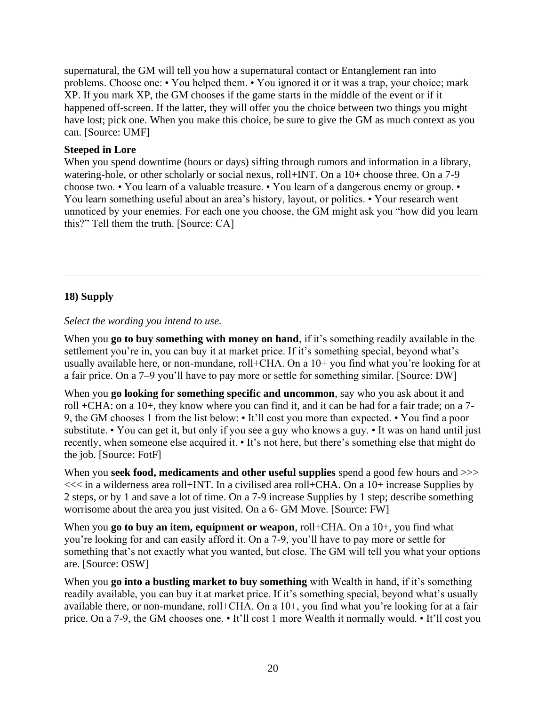supernatural, the GM will tell you how a supernatural contact or Entanglement ran into problems. Choose one: • You helped them. • You ignored it or it was a trap, your choice; mark XP. If you mark XP, the GM chooses if the game starts in the middle of the event or if it happened off-screen. If the latter, they will offer you the choice between two things you might have lost; pick one. When you make this choice, be sure to give the GM as much context as you can. [Source: UMF]

#### **Steeped in Lore**

When you spend downtime (hours or days) sifting through rumors and information in a library, watering-hole, or other scholarly or social nexus, roll+INT. On a 10+ choose three. On a 7-9 choose two. • You learn of a valuable treasure. • You learn of a dangerous enemy or group. • You learn something useful about an area's history, layout, or politics. • Your research went unnoticed by your enemies. For each one you choose, the GM might ask you "how did you learn this?" Tell them the truth. [Source: CA]

# **18) Supply**

#### *Select the wording you intend to use.*

When you **go to buy something with money on hand**, if it's something readily available in the settlement you're in, you can buy it at market price. If it's something special, beyond what's usually available here, or non-mundane, roll+CHA. On a 10+ you find what you're looking for at a fair price. On a 7–9 you'll have to pay more or settle for something similar. [Source: DW]

When you **go looking for something specific and uncommon**, say who you ask about it and roll +CHA: on a 10+, they know where you can find it, and it can be had for a fair trade; on a 7- 9, the GM chooses 1 from the list below: • It'll cost you more than expected. • You find a poor substitute. • You can get it, but only if you see a guy who knows a guy. • It was on hand until just recently, when someone else acquired it. • It's not here, but there's something else that might do the job. [Source: FotF]

When you **seek food, medicaments and other useful supplies** spend a good few hours and >>> <<< in a wilderness area roll+INT. In a civilised area roll+CHA. On a 10+ increase Supplies by 2 steps, or by 1 and save a lot of time. On a 7-9 increase Supplies by 1 step; describe something worrisome about the area you just visited. On a 6- GM Move. [Source: FW]

When you **go to buy an item, equipment or weapon**, roll+CHA. On a 10+, you find what you're looking for and can easily afford it. On a 7-9, you'll have to pay more or settle for something that's not exactly what you wanted, but close. The GM will tell you what your options are. [Source: OSW]

When you **go into a bustling market to buy something** with Wealth in hand, if it's something readily available, you can buy it at market price. If it's something special, beyond what's usually available there, or non-mundane, roll+CHA. On a 10+, you find what you're looking for at a fair price. On a 7-9, the GM chooses one. • It'll cost 1 more Wealth it normally would. • It'll cost you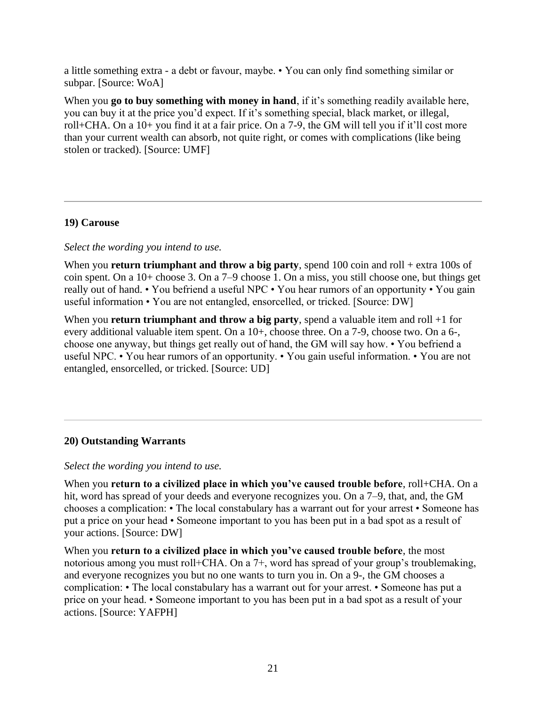a little something extra - a debt or favour, maybe. • You can only find something similar or subpar. [Source: WoA]

When you **go to buy something with money in hand**, if it's something readily available here, you can buy it at the price you'd expect. If it's something special, black market, or illegal, roll+CHA. On a 10+ you find it at a fair price. On a 7-9, the GM will tell you if it'll cost more than your current wealth can absorb, not quite right, or comes with complications (like being stolen or tracked). [Source: UMF]

# **19) Carouse**

#### *Select the wording you intend to use.*

When you **return triumphant and throw a big party**, spend 100 coin and roll + extra 100s of coin spent. On a 10+ choose 3. On a 7–9 choose 1. On a miss, you still choose one, but things get really out of hand. • You befriend a useful NPC • You hear rumors of an opportunity • You gain useful information • You are not entangled, ensorcelled, or tricked. [Source: DW]

When you **return triumphant and throw a big party**, spend a valuable item and roll +1 for every additional valuable item spent. On a 10+, choose three. On a 7-9, choose two. On a 6-, choose one anyway, but things get really out of hand, the GM will say how. • You befriend a useful NPC. • You hear rumors of an opportunity. • You gain useful information. • You are not entangled, ensorcelled, or tricked. [Source: UD]

#### **20) Outstanding Warrants**

#### *Select the wording you intend to use.*

When you **return to a civilized place in which you've caused trouble before**, roll+CHA. On a hit, word has spread of your deeds and everyone recognizes you. On a 7–9, that, and, the GM chooses a complication: • The local constabulary has a warrant out for your arrest • Someone has put a price on your head • Someone important to you has been put in a bad spot as a result of your actions. [Source: DW]

When you **return to a civilized place in which you've caused trouble before**, the most notorious among you must roll+CHA. On a 7+, word has spread of your group's troublemaking, and everyone recognizes you but no one wants to turn you in. On a 9-, the GM chooses a complication: • The local constabulary has a warrant out for your arrest. • Someone has put a price on your head. • Someone important to you has been put in a bad spot as a result of your actions. [Source: YAFPH]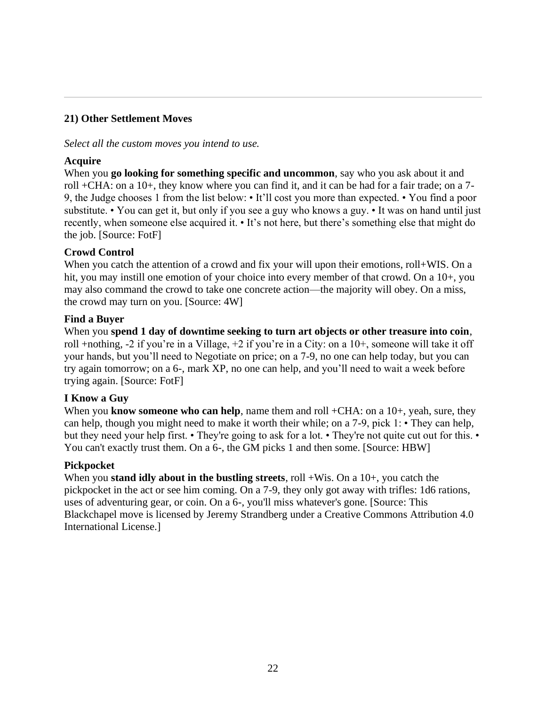# **21) Other Settlement Moves**

*Select all the custom moves you intend to use.*

#### **Acquire**

When you **go looking for something specific and uncommon**, say who you ask about it and roll +CHA: on a 10+, they know where you can find it, and it can be had for a fair trade; on a 7- 9, the Judge chooses 1 from the list below: • It'll cost you more than expected. • You find a poor substitute. • You can get it, but only if you see a guy who knows a guy. • It was on hand until just recently, when someone else acquired it. • It's not here, but there's something else that might do the job. [Source: FotF]

# **Crowd Control**

When you catch the attention of a crowd and fix your will upon their emotions, roll+WIS. On a hit, you may instill one emotion of your choice into every member of that crowd. On a 10+, you may also command the crowd to take one concrete action—the majority will obey. On a miss, the crowd may turn on you. [Source: 4W]

#### **Find a Buyer**

When you **spend 1 day of downtime seeking to turn art objects or other treasure into coin**, roll +nothing, -2 if you're in a Village, +2 if you're in a City: on a 10+, someone will take it off your hands, but you'll need to Negotiate on price; on a 7-9, no one can help today, but you can try again tomorrow; on a 6-, mark XP, no one can help, and you'll need to wait a week before trying again. [Source: FotF]

# **I Know a Guy**

When you **know someone who can help**, name them and roll +CHA: on a 10+, yeah, sure, they can help, though you might need to make it worth their while; on a 7-9, pick 1: • They can help, but they need your help first. • They're going to ask for a lot. • They're not quite cut out for this. • You can't exactly trust them. On a 6-, the GM picks 1 and then some. [Source: HBW]

#### **Pickpocket**

When you **stand idly about in the bustling streets**, roll +Wis. On a 10+, you catch the pickpocket in the act or see him coming. On a 7-9, they only got away with trifles: 1d6 rations, uses of adventuring gear, or coin. On a 6-, you'll miss whatever's gone. [Source: This Blackchapel move is licensed by Jeremy Strandberg under a Creative Commons Attribution 4.0 International License.]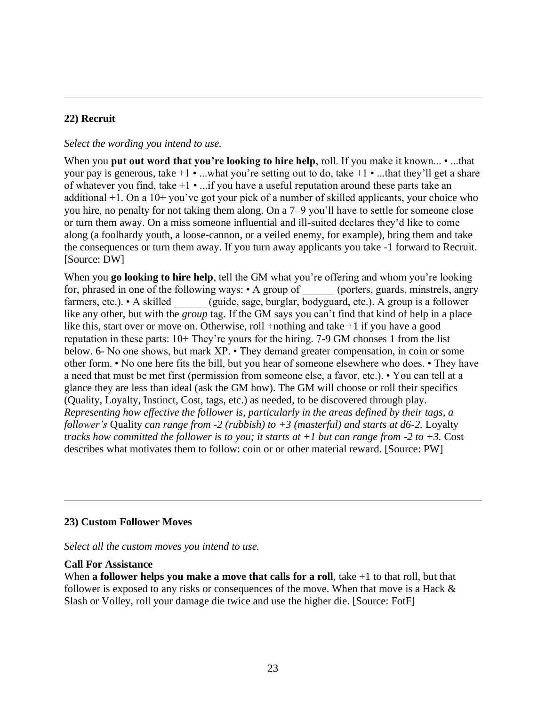# **22) Recruit**

#### *Select the wording you intend to use.*

When you **put out word that you're looking to hire help**, roll. If you make it known... • ...that your pay is generous, take  $+1 \cdot ...$  what you're setting out to do, take  $+1 \cdot ...$  that they'll get a share of whatever you find, take  $+1 \cdot ...$  if you have a useful reputation around these parts take an additional +1. On a 10+ you've got your pick of a number of skilled applicants, your choice who you hire, no penalty for not taking them along. On a 7–9 you'll have to settle for someone close or turn them away. On a miss someone influential and ill-suited declares they'd like to come along (a foolhardy youth, a loose-cannon, or a veiled enemy, for example), bring them and take the consequences or turn them away. If you turn away applicants you take -1 forward to Recruit. [Source: DW]

When you **go looking to hire help**, tell the GM what you're offering and whom you're looking for, phrased in one of the following ways: • A group of (porters, guards, minstrels, angry farmers, etc.). • A skilled (guide, sage, burglar, bodyguard, etc.). A group is a follower like any other, but with the *group* tag. If the GM says you can't find that kind of help in a place like this, start over or move on. Otherwise, roll +nothing and take +1 if you have a good reputation in these parts: 10+ They're yours for the hiring. 7-9 GM chooses 1 from the list below. 6- No one shows, but mark XP. • They demand greater compensation, in coin or some other form. • No one here fits the bill, but you hear of someone elsewhere who does. • They have a need that must be met first (permission from someone else, a favor, etc.). • You can tell at a glance they are less than ideal (ask the GM how). The GM will choose or roll their specifics (Quality, Loyalty, Instinct, Cost, tags, etc.) as needed, to be discovered through play. *Representing how effective the follower is, particularly in the areas defined by their tags, a follower's* Quality *can range from -2 (rubbish) to +3 (masterful) and starts at d6-2.* Loyalty *tracks how committed the follower is to you; it starts at +1 but can range from -2 to +3.* Cost describes what motivates them to follow: coin or or other material reward. [Source: PW]

# **23) Custom Follower Moves**

*Select all the custom moves you intend to use.*

#### **Call For Assistance**

When **a follower helps you make a move that calls for a roll**, take  $+1$  to that roll, but that follower is exposed to any risks or consequences of the move. When that move is a Hack  $\&$ Slash or Volley, roll your damage die twice and use the higher die. [Source: FotF]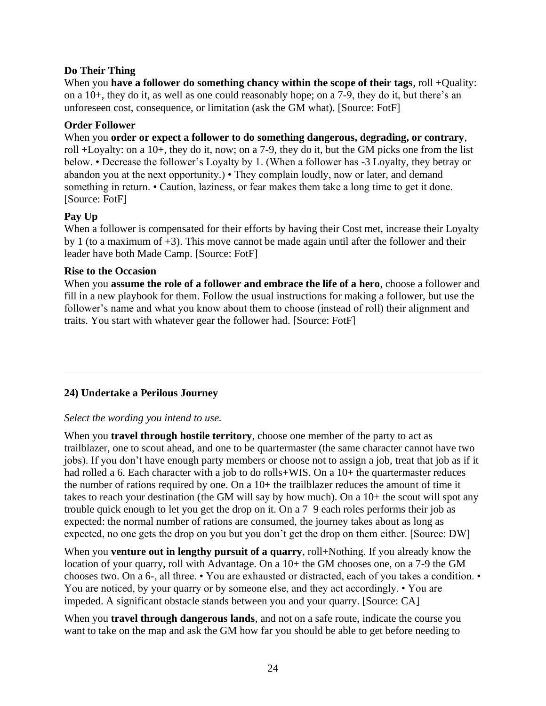# **Do Their Thing**

When you **have a follower do something chancy within the scope of their tags**, roll +Quality: on a 10+, they do it, as well as one could reasonably hope; on a 7-9, they do it, but there's an unforeseen cost, consequence, or limitation (ask the GM what). [Source: FotF]

#### **Order Follower**

When you **order or expect a follower to do something dangerous, degrading, or contrary**, roll +Loyalty: on a 10+, they do it, now; on a 7-9, they do it, but the GM picks one from the list below. • Decrease the follower's Loyalty by 1. (When a follower has -3 Loyalty, they betray or abandon you at the next opportunity.) • They complain loudly, now or later, and demand something in return. • Caution, laziness, or fear makes them take a long time to get it done. [Source: FotF]

# **Pay Up**

When a follower is compensated for their efforts by having their Cost met, increase their Loyalty by 1 (to a maximum of  $+3$ ). This move cannot be made again until after the follower and their leader have both Made Camp. [Source: FotF]

#### **Rise to the Occasion**

When you **assume the role of a follower and embrace the life of a hero**, choose a follower and fill in a new playbook for them. Follow the usual instructions for making a follower, but use the follower's name and what you know about them to choose (instead of roll) their alignment and traits. You start with whatever gear the follower had. [Source: FotF]

# **24) Undertake a Perilous Journey**

#### *Select the wording you intend to use.*

When you **travel through hostile territory**, choose one member of the party to act as trailblazer, one to scout ahead, and one to be quartermaster (the same character cannot have two jobs). If you don't have enough party members or choose not to assign a job, treat that job as if it had rolled a 6. Each character with a job to do rolls+WIS. On a 10+ the quartermaster reduces the number of rations required by one. On a 10+ the trailblazer reduces the amount of time it takes to reach your destination (the GM will say by how much). On a 10+ the scout will spot any trouble quick enough to let you get the drop on it. On a 7–9 each roles performs their job as expected: the normal number of rations are consumed, the journey takes about as long as expected, no one gets the drop on you but you don't get the drop on them either. [Source: DW]

When you **venture out in lengthy pursuit of a quarry**, roll+Nothing. If you already know the location of your quarry, roll with Advantage. On a 10+ the GM chooses one, on a 7-9 the GM chooses two. On a 6-, all three. • You are exhausted or distracted, each of you takes a condition. • You are noticed, by your quarry or by someone else, and they act accordingly. • You are impeded. A significant obstacle stands between you and your quarry. [Source: CA]

When you **travel through dangerous lands**, and not on a safe route, indicate the course you want to take on the map and ask the GM how far you should be able to get before needing to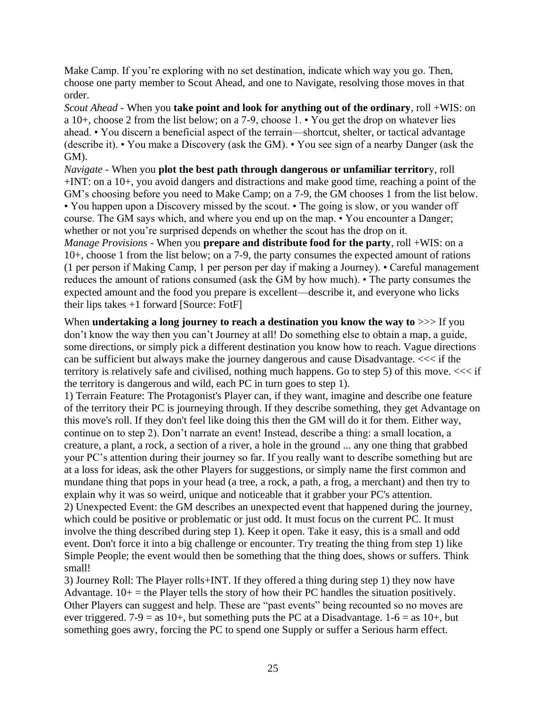Make Camp. If you're exploring with no set destination, indicate which way you go. Then, choose one party member to Scout Ahead, and one to Navigate, resolving those moves in that order.

*Scout Ahead* - When you **take point and look for anything out of the ordinary**, roll +WIS: on a 10+, choose 2 from the list below; on a 7-9, choose 1. • You get the drop on whatever lies ahead. • You discern a beneficial aspect of the terrain—shortcut, shelter, or tactical advantage (describe it). • You make a Discovery (ask the GM). • You see sign of a nearby Danger (ask the GM).

*Navigate* - When you **plot the best path through dangerous or unfamiliar territor**y, roll +INT: on a 10+, you avoid dangers and distractions and make good time, reaching a point of the GM's choosing before you need to Make Camp; on a 7-9, the GM chooses 1 from the list below. • You happen upon a Discovery missed by the scout. • The going is slow, or you wander off course. The GM says which, and where you end up on the map. • You encounter a Danger; whether or not you're surprised depends on whether the scout has the drop on it.

*Manage Provisions* - When you **prepare and distribute food for the party**, roll +WIS: on a 10+, choose 1 from the list below; on a 7-9, the party consumes the expected amount of rations (1 per person if Making Camp, 1 per person per day if making a Journey). • Careful management reduces the amount of rations consumed (ask the GM by how much). • The party consumes the expected amount and the food you prepare is excellent—describe it, and everyone who licks their lips takes  $+1$  forward [Source: Fot $F$ ]

When **undertaking a long journey to reach a destination you know the way to**  $\gg$  If you don't know the way then you can't Journey at all! Do something else to obtain a map, a guide, some directions, or simply pick a different destination you know how to reach. Vague directions can be sufficient but always make the journey dangerous and cause Disadvantage. <<< if the territory is relatively safe and civilised, nothing much happens. Go to step 5) of this move.  $<<$  if the territory is dangerous and wild, each PC in turn goes to step 1).

1) Terrain Feature: The Protagonist's Player can, if they want, imagine and describe one feature of the territory their PC is journeying through. If they describe something, they get Advantage on this move's roll. If they don't feel like doing this then the GM will do it for them. Either way, continue on to step 2). Don't narrate an event! Instead, describe a thing: a small location, a creature, a plant, a rock, a section of a river, a hole in the ground ... any one thing that grabbed your PC's attention during their journey so far. If you really want to describe something but are at a loss for ideas, ask the other Players for suggestions, or simply name the first common and mundane thing that pops in your head (a tree, a rock, a path, a frog, a merchant) and then try to explain why it was so weird, unique and noticeable that it grabber your PC's attention.

2) Unexpected Event: the GM describes an unexpected event that happened during the journey, which could be positive or problematic or just odd. It must focus on the current PC. It must involve the thing described during step 1). Keep it open. Take it easy, this is a small and odd event. Don't force it into a big challenge or encounter. Try treating the thing from step 1) like Simple People; the event would then be something that the thing does, shows or suffers. Think small!

3) Journey Roll: The Player rolls+INT. If they offered a thing during step 1) they now have Advantage.  $10+$  = the Player tells the story of how their PC handles the situation positively. Other Players can suggest and help. These are "past events" being recounted so no moves are ever triggered. 7-9 = as 10+, but something puts the PC at a Disadvantage. 1-6 = as 10+, but something goes awry, forcing the PC to spend one Supply or suffer a Serious harm effect.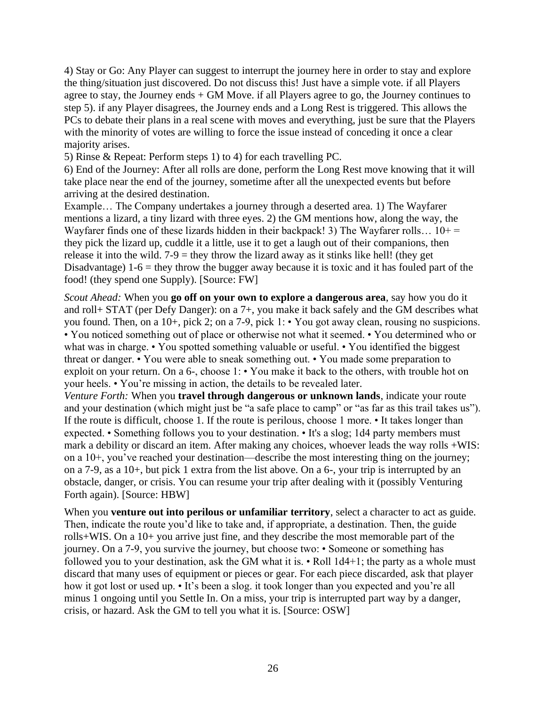4) Stay or Go: Any Player can suggest to interrupt the journey here in order to stay and explore the thing/situation just discovered. Do not discuss this! Just have a simple vote. if all Players agree to stay, the Journey ends + GM Move. if all Players agree to go, the Journey continues to step 5). if any Player disagrees, the Journey ends and a Long Rest is triggered. This allows the PCs to debate their plans in a real scene with moves and everything, just be sure that the Players with the minority of votes are willing to force the issue instead of conceding it once a clear majority arises.

5) Rinse & Repeat: Perform steps 1) to 4) for each travelling PC.

6) End of the Journey: After all rolls are done, perform the Long Rest move knowing that it will take place near the end of the journey, sometime after all the unexpected events but before arriving at the desired destination.

Example… The Company undertakes a journey through a deserted area. 1) The Wayfarer mentions a lizard, a tiny lizard with three eyes. 2) the GM mentions how, along the way, the Wayfarer finds one of these lizards hidden in their backpack! 3) The Wayfarer rolls...  $10+$  = they pick the lizard up, cuddle it a little, use it to get a laugh out of their companions, then release it into the wild.  $7-9$  = they throw the lizard away as it stinks like hell! (they get Disadvantage)  $1-6$  = they throw the bugger away because it is toxic and it has fouled part of the food! (they spend one Supply). [Source: FW]

*Scout Ahead:* When you **go off on your own to explore a dangerous area**, say how you do it and roll+ STAT (per Defy Danger): on a 7+, you make it back safely and the GM describes what you found. Then, on a 10+, pick 2; on a 7-9, pick 1: • You got away clean, rousing no suspicions. • You noticed something out of place or otherwise not what it seemed. • You determined who or what was in charge. • You spotted something valuable or useful. • You identified the biggest threat or danger. • You were able to sneak something out. • You made some preparation to exploit on your return. On a 6-, choose 1: • You make it back to the others, with trouble hot on your heels. • You're missing in action, the details to be revealed later.

*Venture Forth:* When you **travel through dangerous or unknown lands**, indicate your route and your destination (which might just be "a safe place to camp" or "as far as this trail takes us"). If the route is difficult, choose 1. If the route is perilous, choose 1 more. • It takes longer than expected. • Something follows you to your destination. • It's a slog; 1d4 party members must mark a debility or discard an item. After making any choices, whoever leads the way rolls +WIS: on a 10+, you've reached your destination—describe the most interesting thing on the journey; on a 7-9, as a 10+, but pick 1 extra from the list above. On a 6-, your trip is interrupted by an obstacle, danger, or crisis. You can resume your trip after dealing with it (possibly Venturing Forth again). [Source: HBW]

When you **venture out into perilous or unfamiliar territory**, select a character to act as guide. Then, indicate the route you'd like to take and, if appropriate, a destination. Then, the guide rolls+WIS. On a 10+ you arrive just fine, and they describe the most memorable part of the journey. On a 7-9, you survive the journey, but choose two: • Someone or something has followed you to your destination, ask the GM what it is. • Roll 1d4+1; the party as a whole must discard that many uses of equipment or pieces or gear. For each piece discarded, ask that player how it got lost or used up. • It's been a slog. it took longer than you expected and you're all minus 1 ongoing until you Settle In. On a miss, your trip is interrupted part way by a danger, crisis, or hazard. Ask the GM to tell you what it is. [Source: OSW]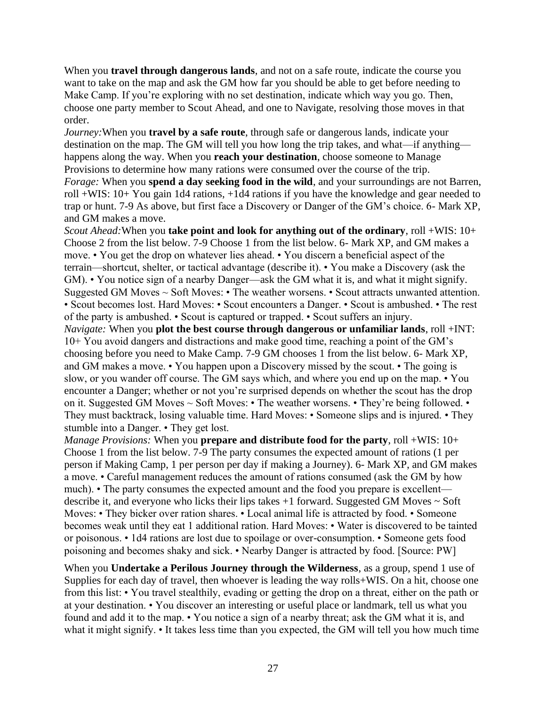When you **travel through dangerous lands**, and not on a safe route, indicate the course you want to take on the map and ask the GM how far you should be able to get before needing to Make Camp. If you're exploring with no set destination, indicate which way you go. Then, choose one party member to Scout Ahead, and one to Navigate, resolving those moves in that order.

*Journey:*When you **travel by a safe route**, through safe or dangerous lands, indicate your destination on the map. The GM will tell you how long the trip takes, and what—if anything happens along the way. When you **reach your destination**, choose someone to Manage Provisions to determine how many rations were consumed over the course of the trip.

*Forage:* When you **spend a day seeking food in the wild**, and your surroundings are not Barren, roll +WIS: 10+ You gain 1d4 rations, +1d4 rations if you have the knowledge and gear needed to trap or hunt. 7-9 As above, but first face a Discovery or Danger of the GM's choice. 6- Mark XP, and GM makes a move.

*Scout Ahead:*When you **take point and look for anything out of the ordinary**, roll +WIS: 10+ Choose 2 from the list below. 7-9 Choose 1 from the list below. 6- Mark XP, and GM makes a move. • You get the drop on whatever lies ahead. • You discern a beneficial aspect of the terrain—shortcut, shelter, or tactical advantage (describe it). • You make a Discovery (ask the GM). • You notice sign of a nearby Danger—ask the GM what it is, and what it might signify. Suggested GM Moves ~ Soft Moves: • The weather worsens. • Scout attracts unwanted attention. • Scout becomes lost. Hard Moves: • Scout encounters a Danger. • Scout is ambushed. • The rest of the party is ambushed. • Scout is captured or trapped. • Scout suffers an injury. *Navigate:* When you **plot the best course through dangerous or unfamiliar lands**, roll +INT: 10+ You avoid dangers and distractions and make good time, reaching a point of the GM's choosing before you need to Make Camp. 7-9 GM chooses 1 from the list below. 6- Mark XP, and GM makes a move. • You happen upon a Discovery missed by the scout. • The going is slow, or you wander off course. The GM says which, and where you end up on the map. • You encounter a Danger; whether or not you're surprised depends on whether the scout has the drop on it. Suggested GM Moves  $\sim$  Soft Moves:  $\cdot$  The weather worsens.  $\cdot$  They're being followed.  $\cdot$ They must backtrack, losing valuable time. Hard Moves: • Someone slips and is injured. • They stumble into a Danger. • They get lost.

*Manage Provisions:* When you **prepare and distribute food for the party**, roll +WIS: 10+ Choose 1 from the list below. 7-9 The party consumes the expected amount of rations (1 per person if Making Camp, 1 per person per day if making a Journey). 6- Mark XP, and GM makes a move. • Careful management reduces the amount of rations consumed (ask the GM by how much). • The party consumes the expected amount and the food you prepare is excellent describe it, and everyone who licks their lips takes +1 forward. Suggested GM Moves ~ Soft Moves: • They bicker over ration shares. • Local animal life is attracted by food. • Someone becomes weak until they eat 1 additional ration. Hard Moves: • Water is discovered to be tainted or poisonous. • 1d4 rations are lost due to spoilage or over-consumption. • Someone gets food poisoning and becomes shaky and sick. • Nearby Danger is attracted by food. [Source: PW]

When you **Undertake a Perilous Journey through the Wilderness**, as a group, spend 1 use of Supplies for each day of travel, then whoever is leading the way rolls+WIS. On a hit, choose one from this list: • You travel stealthily, evading or getting the drop on a threat, either on the path or at your destination. • You discover an interesting or useful place or landmark, tell us what you found and add it to the map. • You notice a sign of a nearby threat; ask the GM what it is, and what it might signify. • It takes less time than you expected, the GM will tell you how much time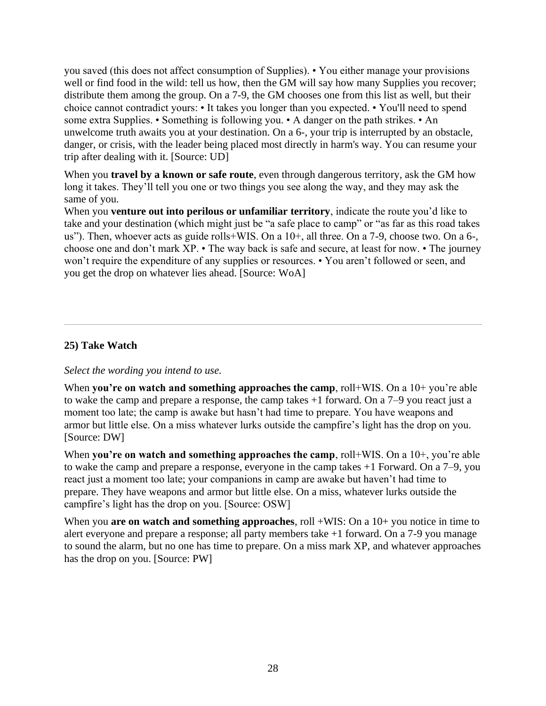you saved (this does not affect consumption of Supplies). • You either manage your provisions well or find food in the wild: tell us how, then the GM will say how many Supplies you recover; distribute them among the group. On a 7-9, the GM chooses one from this list as well, but their choice cannot contradict yours: • It takes you longer than you expected. • You'll need to spend some extra Supplies. • Something is following you. • A danger on the path strikes. • An unwelcome truth awaits you at your destination. On a 6-, your trip is interrupted by an obstacle, danger, or crisis, with the leader being placed most directly in harm's way. You can resume your trip after dealing with it. [Source: UD]

When you **travel by a known or safe route**, even through dangerous territory, ask the GM how long it takes. They'll tell you one or two things you see along the way, and they may ask the same of you.

When you **venture out into perilous or unfamiliar territory**, indicate the route you'd like to take and your destination (which might just be "a safe place to camp" or "as far as this road takes us"). Then, whoever acts as guide rolls+WIS. On a 10+, all three. On a 7-9, choose two. On a 6-, choose one and don't mark XP. • The way back is safe and secure, at least for now. • The journey won't require the expenditure of any supplies or resources. • You aren't followed or seen, and you get the drop on whatever lies ahead. [Source: WoA]

# **25) Take Watch**

#### *Select the wording you intend to use.*

When **you're on watch and something approaches the camp**, roll+WIS. On a 10+ you're able to wake the camp and prepare a response, the camp takes +1 forward. On a 7–9 you react just a moment too late; the camp is awake but hasn't had time to prepare. You have weapons and armor but little else. On a miss whatever lurks outside the campfire's light has the drop on you. [Source: DW]

When **you're on watch and something approaches the camp**, roll+WIS. On a 10+, you're able to wake the camp and prepare a response, everyone in the camp takes +1 Forward. On a 7–9, you react just a moment too late; your companions in camp are awake but haven't had time to prepare. They have weapons and armor but little else. On a miss, whatever lurks outside the campfire's light has the drop on you. [Source: OSW]

When you **are on watch and something approaches**, roll +WIS: On a 10+ you notice in time to alert everyone and prepare a response; all party members take +1 forward. On a 7-9 you manage to sound the alarm, but no one has time to prepare. On a miss mark XP, and whatever approaches has the drop on you. [Source: PW]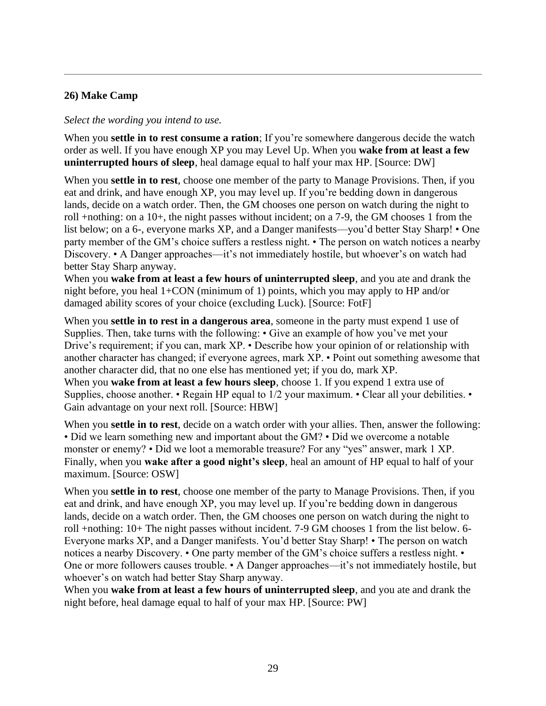# **26) Make Camp**

#### *Select the wording you intend to use.*

When you **settle in to rest consume a ration**; If you're somewhere dangerous decide the watch order as well. If you have enough XP you may Level Up. When you **wake from at least a few uninterrupted hours of sleep**, heal damage equal to half your max HP. [Source: DW]

When you **settle in to rest**, choose one member of the party to Manage Provisions. Then, if you eat and drink, and have enough XP, you may level up. If you're bedding down in dangerous lands, decide on a watch order. Then, the GM chooses one person on watch during the night to roll +nothing: on a 10+, the night passes without incident; on a 7-9, the GM chooses 1 from the list below; on a 6-, everyone marks XP, and a Danger manifests—you'd better Stay Sharp! • One party member of the GM's choice suffers a restless night. • The person on watch notices a nearby Discovery. • A Danger approaches—it's not immediately hostile, but whoever's on watch had better Stay Sharp anyway.

When you **wake from at least a few hours of uninterrupted sleep**, and you ate and drank the night before, you heal 1+CON (minimum of 1) points, which you may apply to HP and/or damaged ability scores of your choice (excluding Luck). [Source: FotF]

When you **settle in to rest in a dangerous area**, someone in the party must expend 1 use of Supplies. Then, take turns with the following: • Give an example of how you've met your Drive's requirement; if you can, mark XP. • Describe how your opinion of or relationship with another character has changed; if everyone agrees, mark XP. • Point out something awesome that another character did, that no one else has mentioned yet; if you do, mark XP. When you **wake from at least a few hours sleep**, choose 1. If you expend 1 extra use of Supplies, choose another. • Regain HP equal to 1/2 your maximum. • Clear all your debilities. • Gain advantage on your next roll. [Source: HBW]

When you **settle in to rest**, decide on a watch order with your allies. Then, answer the following: • Did we learn something new and important about the GM? • Did we overcome a notable monster or enemy? • Did we loot a memorable treasure? For any "yes" answer, mark 1 XP. Finally, when you **wake after a good night's sleep**, heal an amount of HP equal to half of your maximum. [Source: OSW]

When you **settle in to rest**, choose one member of the party to Manage Provisions. Then, if you eat and drink, and have enough XP, you may level up. If you're bedding down in dangerous lands, decide on a watch order. Then, the GM chooses one person on watch during the night to roll +nothing: 10+ The night passes without incident. 7-9 GM chooses 1 from the list below. 6- Everyone marks XP, and a Danger manifests. You'd better Stay Sharp! • The person on watch notices a nearby Discovery. • One party member of the GM's choice suffers a restless night. • One or more followers causes trouble. • A Danger approaches—it's not immediately hostile, but whoever's on watch had better Stay Sharp anyway.

When you **wake from at least a few hours of uninterrupted sleep**, and you ate and drank the night before, heal damage equal to half of your max HP. [Source: PW]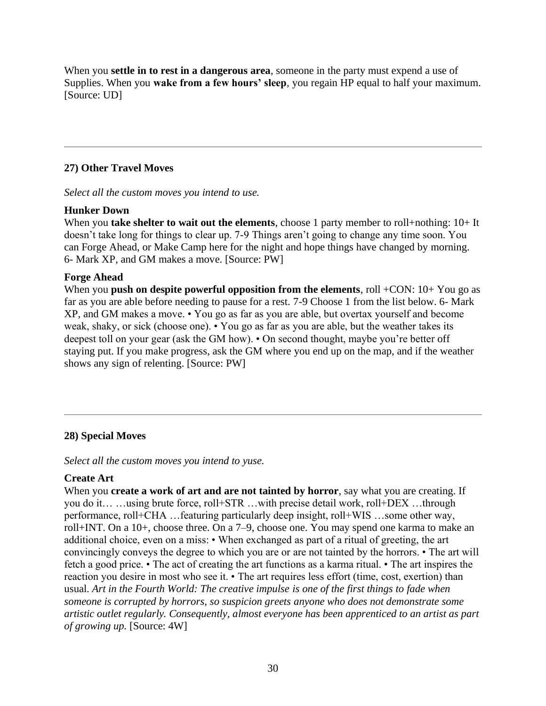When you **settle in to rest in a dangerous area**, someone in the party must expend a use of Supplies. When you **wake from a few hours' sleep**, you regain HP equal to half your maximum. [Source: UD]

# **27) Other Travel Moves**

*Select all the custom moves you intend to use.*

#### **Hunker Down**

When you **take shelter to wait out the elements**, choose 1 party member to roll+nothing: 10+ It doesn't take long for things to clear up. 7-9 Things aren't going to change any time soon. You can Forge Ahead, or Make Camp here for the night and hope things have changed by morning. 6- Mark XP, and GM makes a move. [Source: PW]

#### **Forge Ahead**

When you **push on despite powerful opposition from the elements**, roll +CON: 10+ You go as far as you are able before needing to pause for a rest. 7-9 Choose 1 from the list below. 6- Mark XP, and GM makes a move. • You go as far as you are able, but overtax yourself and become weak, shaky, or sick (choose one). • You go as far as you are able, but the weather takes its deepest toll on your gear (ask the GM how). • On second thought, maybe you're better off staying put. If you make progress, ask the GM where you end up on the map, and if the weather shows any sign of relenting. [Source: PW]

# **28) Special Moves**

*Select all the custom moves you intend to yuse.*

# **Create Art**

When you **create a work of art and are not tainted by horror**, say what you are creating. If you do it… …using brute force, roll+STR …with precise detail work, roll+DEX …through performance, roll+CHA …featuring particularly deep insight, roll+WIS …some other way, roll+INT. On a 10+, choose three. On a 7–9, choose one. You may spend one karma to make an additional choice, even on a miss: • When exchanged as part of a ritual of greeting, the art convincingly conveys the degree to which you are or are not tainted by the horrors. • The art will fetch a good price. • The act of creating the art functions as a karma ritual. • The art inspires the reaction you desire in most who see it. • The art requires less effort (time, cost, exertion) than usual. *Art in the Fourth World: The creative impulse is one of the first things to fade when someone is corrupted by horrors, so suspicion greets anyone who does not demonstrate some artistic outlet regularly. Consequently, almost everyone has been apprenticed to an artist as part of growing up.* [Source: 4W]